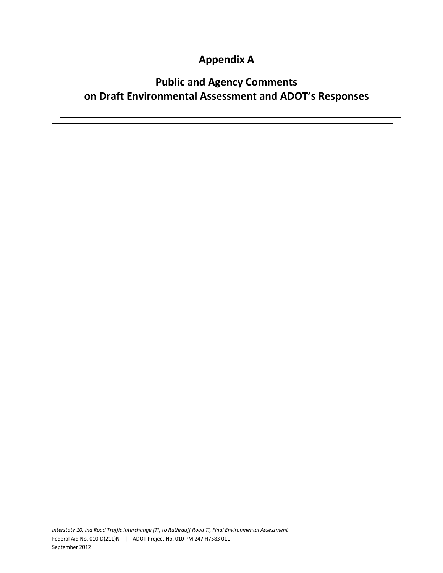## **Appendix A**

## **Public and Agency Comments on Draft Environmental Assessment and ADOT's Responses**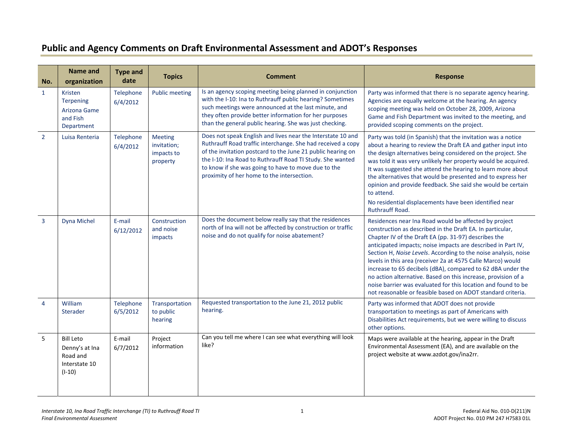## **Public and Agency Comments on Draft Environmental Assessment and ADOT's Responses**

| No.            | Name and<br>organization                                                    | <b>Type and</b><br>date | <b>Topics</b>                                           | <b>Comment</b>                                                                                                                                                                                                                                                                                                                                              | <b>Response</b>                                                                                                                                                                                                                                                                                                                                                                                                                                                                                                                                                                                                                              |
|----------------|-----------------------------------------------------------------------------|-------------------------|---------------------------------------------------------|-------------------------------------------------------------------------------------------------------------------------------------------------------------------------------------------------------------------------------------------------------------------------------------------------------------------------------------------------------------|----------------------------------------------------------------------------------------------------------------------------------------------------------------------------------------------------------------------------------------------------------------------------------------------------------------------------------------------------------------------------------------------------------------------------------------------------------------------------------------------------------------------------------------------------------------------------------------------------------------------------------------------|
| $\mathbf{1}$   | Kristen<br>Terpening<br>Arizona Game<br>and Fish<br>Department              | Telephone<br>6/4/2012   | <b>Public meeting</b>                                   | Is an agency scoping meeting being planned in conjunction<br>with the I-10: Ina to Ruthrauff public hearing? Sometimes<br>such meetings were announced at the last minute, and<br>they often provide better information for her purposes<br>than the general public hearing. She was just checking.                                                         | Party was informed that there is no separate agency hearing.<br>Agencies are equally welcome at the hearing. An agency<br>scoping meeting was held on October 28, 2009, Arizona<br>Game and Fish Department was invited to the meeting, and<br>provided scoping comments on the project.                                                                                                                                                                                                                                                                                                                                                     |
| $\overline{2}$ | Luisa Renteria                                                              | Telephone<br>6/4/2012   | <b>Meeting</b><br>invitation;<br>impacts to<br>property | Does not speak English and lives near the Interstate 10 and<br>Ruthrauff Road traffic interchange. She had received a copy<br>of the invitation postcard to the June 21 public hearing on<br>the I-10: Ina Road to Ruthrauff Road TI Study. She wanted<br>to know if she was going to have to move due to the<br>proximity of her home to the intersection. | Party was told (in Spanish) that the invitation was a notice<br>about a hearing to review the Draft EA and gather input into<br>the design alternatives being considered on the project. She<br>was told it was very unlikely her property would be acquired.<br>It was suggested she attend the hearing to learn more about<br>the alternatives that would be presented and to express her<br>opinion and provide feedback. She said she would be certain<br>to attend.<br>No residential displacements have been identified near<br><b>Ruthrauff Road.</b>                                                                                 |
| $\overline{3}$ | Dyna Michel                                                                 | E-mail<br>6/12/2012     | Construction<br>and noise<br>impacts                    | Does the document below really say that the residences<br>north of Ina will not be affected by construction or traffic<br>noise and do not qualify for noise abatement?                                                                                                                                                                                     | Residences near Ina Road would be affected by project<br>construction as described in the Draft EA. In particular,<br>Chapter IV of the Draft EA (pp. 31-97) describes the<br>anticipated impacts; noise impacts are described in Part IV,<br>Section H, Noise Levels. According to the noise analysis, noise<br>levels in this area (receiver 2a at 4575 Calle Marco) would<br>increase to 65 decibels (dBA), compared to 62 dBA under the<br>no action alternative. Based on this increase, provision of a<br>noise barrier was evaluated for this location and found to be<br>not reasonable or feasible based on ADOT standard criteria. |
| $\overline{4}$ | William<br>Sterader                                                         | Telephone<br>6/5/2012   | Transportation<br>to public<br>hearing                  | Requested transportation to the June 21, 2012 public<br>hearing.                                                                                                                                                                                                                                                                                            | Party was informed that ADOT does not provide<br>transportation to meetings as part of Americans with<br>Disabilities Act requirements, but we were willing to discuss<br>other options.                                                                                                                                                                                                                                                                                                                                                                                                                                                     |
| 5              | <b>Bill Leto</b><br>Denny's at Ina<br>Road and<br>Interstate 10<br>$(I-10)$ | E-mail<br>6/7/2012      | Project<br>information                                  | Can you tell me where I can see what everything will look<br>like?                                                                                                                                                                                                                                                                                          | Maps were available at the hearing, appear in the Draft<br>Environmental Assessment (EA), and are available on the<br>project website at www.azdot.gov/ina2rr.                                                                                                                                                                                                                                                                                                                                                                                                                                                                               |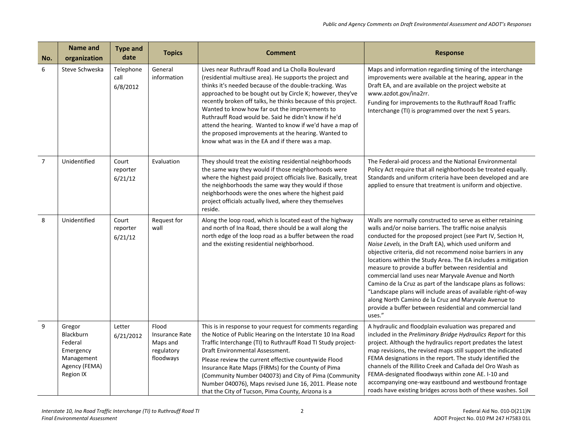| No.            | Name and<br>organization                                                                | <b>Type and</b><br>date       | <b>Topics</b>                                                         | <b>Comment</b>                                                                                                                                                                                                                                                                                                                                                                                                                                                                                                                                                                        | <b>Response</b>                                                                                                                                                                                                                                                                                                                                                                                                                                                                                                                                                                                                                                                                                                                                              |
|----------------|-----------------------------------------------------------------------------------------|-------------------------------|-----------------------------------------------------------------------|---------------------------------------------------------------------------------------------------------------------------------------------------------------------------------------------------------------------------------------------------------------------------------------------------------------------------------------------------------------------------------------------------------------------------------------------------------------------------------------------------------------------------------------------------------------------------------------|--------------------------------------------------------------------------------------------------------------------------------------------------------------------------------------------------------------------------------------------------------------------------------------------------------------------------------------------------------------------------------------------------------------------------------------------------------------------------------------------------------------------------------------------------------------------------------------------------------------------------------------------------------------------------------------------------------------------------------------------------------------|
| 6              | Steve Schweska                                                                          | Telephone<br>call<br>6/8/2012 | General<br>information                                                | Lives near Ruthrauff Road and La Cholla Boulevard<br>(residential multiuse area). He supports the project and<br>thinks it's needed because of the double-tracking. Was<br>approached to be bought out by Circle K; however, they've<br>recently broken off talks, he thinks because of this project.<br>Wanted to know how far out the improvements to<br>Ruthrauff Road would be. Said he didn't know if he'd<br>attend the hearing. Wanted to know if we'd have a map of<br>the proposed improvements at the hearing. Wanted to<br>know what was in the EA and if there was a map. | Maps and information regarding timing of the interchange<br>improvements were available at the hearing, appear in the<br>Draft EA, and are available on the project website at<br>www.azdot.gov/ina2rr.<br>Funding for improvements to the Ruthrauff Road Traffic<br>Interchange (TI) is programmed over the next 5 years.                                                                                                                                                                                                                                                                                                                                                                                                                                   |
| $\overline{7}$ | Unidentified                                                                            | Court<br>reporter<br>6/21/12  | Evaluation                                                            | They should treat the existing residential neighborhoods<br>the same way they would if those neighborhoods were<br>where the highest paid project officials live. Basically, treat<br>the neighborhoods the same way they would if those<br>neighborhoods were the ones where the highest paid<br>project officials actually lived, where they themselves<br>reside.                                                                                                                                                                                                                  | The Federal-aid process and the National Environmental<br>Policy Act require that all neighborhoods be treated equally.<br>Standards and uniform criteria have been developed and are<br>applied to ensure that treatment is uniform and objective.                                                                                                                                                                                                                                                                                                                                                                                                                                                                                                          |
| 8              | Unidentified                                                                            | Court<br>reporter<br>6/21/12  | Request for<br>wall                                                   | Along the loop road, which is located east of the highway<br>and north of Ina Road, there should be a wall along the<br>north edge of the loop road as a buffer between the road<br>and the existing residential neighborhood.                                                                                                                                                                                                                                                                                                                                                        | Walls are normally constructed to serve as either retaining<br>walls and/or noise barriers. The traffic noise analysis<br>conducted for the proposed project (see Part IV, Section H,<br>Noise Levels, in the Draft EA), which used uniform and<br>objective criteria, did not recommend noise barriers in any<br>locations within the Study Area. The EA includes a mitigation<br>measure to provide a buffer between residential and<br>commercial land uses near Maryvale Avenue and North<br>Camino de la Cruz as part of the landscape plans as follows:<br>"Landscape plans will include areas of available right-of-way<br>along North Camino de la Cruz and Maryvale Avenue to<br>provide a buffer between residential and commercial land<br>uses." |
| 9              | Gregor<br>Blackburn<br>Federal<br>Emergency<br>Management<br>Agency (FEMA)<br>Region IX | Letter<br>6/21/2012           | Flood<br><b>Insurance Rate</b><br>Maps and<br>regulatory<br>floodways | This is in response to your request for comments regarding<br>the Notice of Public Hearing on the Interstate 10 Ina Road<br>Traffic Interchange (TI) to Ruthrauff Road TI Study project-<br>Draft Environmental Assessment.<br>Please review the current effective countywide Flood<br>Insurance Rate Maps (FIRMs) for the County of Pima<br>(Community Number 040073) and City of Pima (Community<br>Number 040076), Maps revised June 16, 2011. Please note<br>that the City of Tucson, Pima County, Arizona is a                                                                   | A hydraulic and floodplain evaluation was prepared and<br>included in the Preliminary Bridge Hydraulics Report for this<br>project. Although the hydraulics report predates the latest<br>map revisions, the revised maps still support the indicated<br>FEMA designations in the report. The study identified the<br>channels of the Rillito Creek and Cañada del Oro Wash as<br>FEMA-designated floodways within zone AE. I-10 and<br>accompanying one-way eastbound and westbound frontage<br>roads have existing bridges across both of these washes. Soil                                                                                                                                                                                               |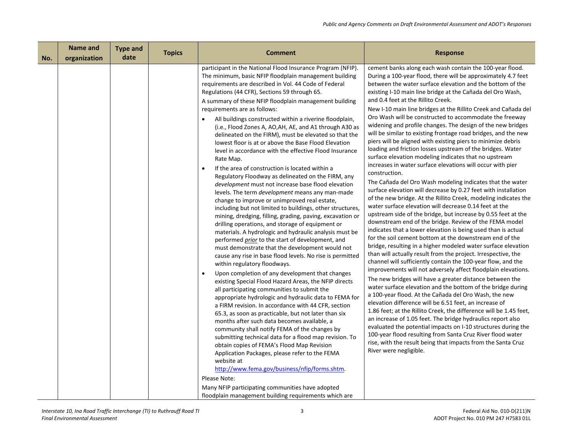| No. | <b>Name and</b><br>organization | <b>Type and</b><br>date | <b>Topics</b> | <b>Comment</b>                                                                                                                                                                                                                                                                                                                                                                                                                                                                                                                                                                                                                                                                                                                                                                                                                                                                                                                                                                                                                                                                                                                                                                                                                                                                                                                                                                                                                                                                                                                                                                                                                                                                                                                                                                                                                                                                                                                                                                                                                                                                                                                                                                                      | <b>Response</b>                                                                                                                                                                                                                                                                                                                                                                                                                                                                                                                                                                                                                                                                                                                                                                                                                                                                                                                                                                                                                                                                                                                                                                                                                                                                                                                                                                                                                                                                                                                                                                                                                                                                                                                                                                                                                                                                                                                                                                                                                                                                                                                                                                                                                  |
|-----|---------------------------------|-------------------------|---------------|-----------------------------------------------------------------------------------------------------------------------------------------------------------------------------------------------------------------------------------------------------------------------------------------------------------------------------------------------------------------------------------------------------------------------------------------------------------------------------------------------------------------------------------------------------------------------------------------------------------------------------------------------------------------------------------------------------------------------------------------------------------------------------------------------------------------------------------------------------------------------------------------------------------------------------------------------------------------------------------------------------------------------------------------------------------------------------------------------------------------------------------------------------------------------------------------------------------------------------------------------------------------------------------------------------------------------------------------------------------------------------------------------------------------------------------------------------------------------------------------------------------------------------------------------------------------------------------------------------------------------------------------------------------------------------------------------------------------------------------------------------------------------------------------------------------------------------------------------------------------------------------------------------------------------------------------------------------------------------------------------------------------------------------------------------------------------------------------------------------------------------------------------------------------------------------------------------|----------------------------------------------------------------------------------------------------------------------------------------------------------------------------------------------------------------------------------------------------------------------------------------------------------------------------------------------------------------------------------------------------------------------------------------------------------------------------------------------------------------------------------------------------------------------------------------------------------------------------------------------------------------------------------------------------------------------------------------------------------------------------------------------------------------------------------------------------------------------------------------------------------------------------------------------------------------------------------------------------------------------------------------------------------------------------------------------------------------------------------------------------------------------------------------------------------------------------------------------------------------------------------------------------------------------------------------------------------------------------------------------------------------------------------------------------------------------------------------------------------------------------------------------------------------------------------------------------------------------------------------------------------------------------------------------------------------------------------------------------------------------------------------------------------------------------------------------------------------------------------------------------------------------------------------------------------------------------------------------------------------------------------------------------------------------------------------------------------------------------------------------------------------------------------------------------------------------------------|
|     |                                 |                         |               | participant in the National Flood Insurance Program (NFIP).<br>The minimum, basic NFIP floodplain management building<br>requirements are described in Vol. 44 Code of Federal<br>Regulations (44 CFR), Sections 59 through 65.<br>A summary of these NFIP floodplain management building<br>requirements are as follows:<br>All buildings constructed within a riverine floodplain,<br>$\bullet$<br>(i.e., Flood Zones A, AO, AH, AE, and A1 through A30 as<br>delineated on the FIRM), must be elevated so that the<br>lowest floor is at or above the Base Flood Elevation<br>level in accordance with the effective Flood Insurance<br>Rate Map.<br>If the area of construction is located within a<br>$\bullet$<br>Regulatory Floodway as delineated on the FIRM, any<br>development must not increase base flood elevation<br>levels. The term <i>development</i> means any man-made<br>change to improve or unimproved real estate,<br>including but not limited to buildings, other structures,<br>mining, dredging, filling, grading, paving, excavation or<br>drilling operations, and storage of equipment or<br>materials. A hydrologic and hydraulic analysis must be<br>performed <i>prior</i> to the start of development, and<br>must demonstrate that the development would not<br>cause any rise in base flood levels. No rise is permitted<br>within regulatory floodways.<br>Upon completion of any development that changes<br>$\bullet$<br>existing Special Flood Hazard Areas, the NFIP directs<br>all participating communities to submit the<br>appropriate hydrologic and hydraulic data to FEMA for<br>a FIRM revision. In accordance with 44 CFR, section<br>65.3, as soon as practicable, but not later than six<br>months after such data becomes available, a<br>community shall notify FEMA of the changes by<br>submitting technical data for a flood map revision. To<br>obtain copies of FEMA's Flood Map Revision<br>Application Packages, please refer to the FEMA<br>website at<br>http://www.fema.gov/business/nfip/forms.shtm.<br>Please Note:<br>Many NFIP participating communities have adopted<br>floodplain management building requirements which are | cement banks along each wash contain the 100-year flood.<br>During a 100-year flood, there will be approximately 4.7 feet<br>between the water surface elevation and the bottom of the<br>existing I-10 main line bridge at the Cañada del Oro Wash,<br>and 0.4 feet at the Rillito Creek.<br>New I-10 main line bridges at the Rillito Creek and Cañada del<br>Oro Wash will be constructed to accommodate the freeway<br>widening and profile changes. The design of the new bridges<br>will be similar to existing frontage road bridges, and the new<br>piers will be aligned with existing piers to minimize debris<br>loading and friction losses upstream of the bridges. Water<br>surface elevation modeling indicates that no upstream<br>increases in water surface elevations will occur with pier<br>construction.<br>The Cañada del Oro Wash modeling indicates that the water<br>surface elevation will decrease by 0.27 feet with installation<br>of the new bridge. At the Rillito Creek, modeling indicates the<br>water surface elevation will decrease 0.14 feet at the<br>upstream side of the bridge, but increase by 0.55 feet at the<br>downstream end of the bridge. Review of the FEMA model<br>indicates that a lower elevation is being used than is actual<br>for the soil cement bottom at the downstream end of the<br>bridge, resulting in a higher modeled water surface elevation<br>than will actually result from the project. Irrespective, the<br>channel will sufficiently contain the 100-year flow, and the<br>improvements will not adversely affect floodplain elevations.<br>The new bridges will have a greater distance between the<br>water surface elevation and the bottom of the bridge during<br>a 100-year flood. At the Cañada del Oro Wash, the new<br>elevation difference will be 6.51 feet, an increase of<br>1.86 feet; at the Rillito Creek, the difference will be 1.45 feet,<br>an increase of 1.05 feet. The bridge hydraulics report also<br>evaluated the potential impacts on I-10 structures during the<br>100-year flood resulting from Santa Cruz River flood water<br>rise, with the result being that impacts from the Santa Cruz<br>River were negligible. |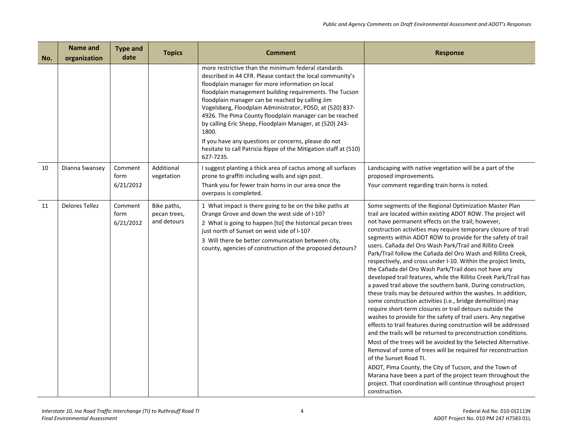| No. | Name and<br>organization | <b>Type and</b><br>date      | <b>Topics</b>                              | Comment                                                                                                                                                                                                                                                                                                                                                                                                                                                                                                                                                                                                                   | <b>Response</b>                                                                                                                                                                                                                                                                                                                                                                                                                                                                                                                                                                                                                                                                                                                                                                                                                                                                                                                                                                                                                                                                                                                                                                                                                                                                                                                                                                                                                                                          |
|-----|--------------------------|------------------------------|--------------------------------------------|---------------------------------------------------------------------------------------------------------------------------------------------------------------------------------------------------------------------------------------------------------------------------------------------------------------------------------------------------------------------------------------------------------------------------------------------------------------------------------------------------------------------------------------------------------------------------------------------------------------------------|--------------------------------------------------------------------------------------------------------------------------------------------------------------------------------------------------------------------------------------------------------------------------------------------------------------------------------------------------------------------------------------------------------------------------------------------------------------------------------------------------------------------------------------------------------------------------------------------------------------------------------------------------------------------------------------------------------------------------------------------------------------------------------------------------------------------------------------------------------------------------------------------------------------------------------------------------------------------------------------------------------------------------------------------------------------------------------------------------------------------------------------------------------------------------------------------------------------------------------------------------------------------------------------------------------------------------------------------------------------------------------------------------------------------------------------------------------------------------|
|     |                          |                              |                                            | more restrictive than the minimum federal standards<br>described in 44 CFR. Please contact the local community's<br>floodplain manager for more information on local<br>floodplain management building requirements. The Tucson<br>floodplain manager can be reached by calling Jim<br>Vogelsberg, Floodplain Administrator, PDSD, at (520) 837-<br>4926. The Pima County floodplain manager can be reached<br>by calling Eric Shepp, Floodplain Manager, at (520) 243-<br>1800.<br>If you have any questions or concerns, please do not<br>hesitate to call Patricia Rippe of the Mitigation staff at (510)<br>627-7235. |                                                                                                                                                                                                                                                                                                                                                                                                                                                                                                                                                                                                                                                                                                                                                                                                                                                                                                                                                                                                                                                                                                                                                                                                                                                                                                                                                                                                                                                                          |
| 10  | Dianna Swansey           | Comment<br>form<br>6/21/2012 | Additional<br>vegetation                   | I suggest planting a thick area of cactus among all surfaces<br>prone to graffiti including walls and sign post.<br>Thank you for fewer train horns in our area once the                                                                                                                                                                                                                                                                                                                                                                                                                                                  | Landscaping with native vegetation will be a part of the<br>proposed improvements.<br>Your comment regarding train horns is noted.                                                                                                                                                                                                                                                                                                                                                                                                                                                                                                                                                                                                                                                                                                                                                                                                                                                                                                                                                                                                                                                                                                                                                                                                                                                                                                                                       |
| 11  | Delores Tellez           | Comment<br>form<br>6/21/2012 | Bike paths,<br>pecan trees,<br>and detours | overpass is completed.<br>1 What impact is there going to be on the bike paths at<br>Orange Grove and down the west side of I-10?<br>2 What is going to happen [to] the historical pecan trees<br>just north of Sunset on west side of I-10?<br>3 Will there be better communication between city,<br>county, agencies of construction of the proposed detours?                                                                                                                                                                                                                                                           | Some segments of the Regional Optimization Master Plan<br>trail are located within existing ADOT ROW. The project will<br>not have permanent effects on the trail; however,<br>construction activities may require temporary closure of trail<br>segments within ADOT ROW to provide for the safety of trail<br>users. Cañada del Oro Wash Park/Trail and Rillito Creek<br>Park/Trail follow the Cañada del Oro Wash and Rillito Creek,<br>respectively, and cross under I-10. Within the project limits,<br>the Cañada del Oro Wash Park/Trail does not have any<br>developed trail features, while the Rillito Creek Park/Trail has<br>a paved trail above the southern bank. During construction,<br>these trails may be detoured within the washes. In addition,<br>some construction activities (i.e., bridge demolition) may<br>require short-term closures or trail detours outside the<br>washes to provide for the safety of trail users. Any negative<br>effects to trail features during construction will be addressed<br>and the trails will be returned to preconstruction conditions.<br>Most of the trees will be avoided by the Selected Alternative.<br>Removal of some of trees will be required for reconstruction<br>of the Sunset Road TI.<br>ADOT, Pima County, the City of Tucson, and the Town of<br>Marana have been a part of the project team throughout the<br>project. That coordination will continue throughout project<br>construction. |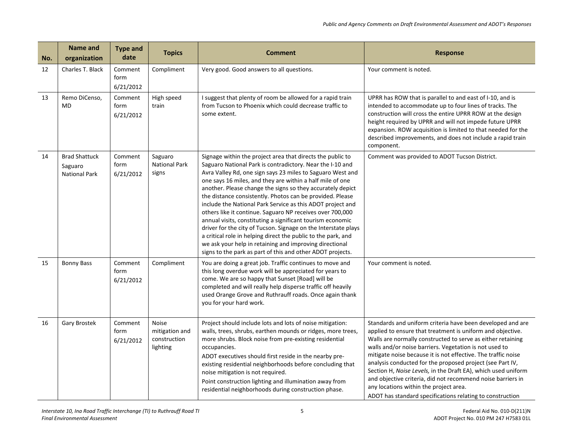| No. | Name and<br>organization                                | <b>Type and</b><br>date      | <b>Topics</b>                                       | <b>Comment</b>                                                                                                                                                                                                                                                                                                                                                                                                                                                                                                                                                                                                                                                                                                                                                                                                                     | <b>Response</b>                                                                                                                                                                                                                                                                                                                                                                                                                                                                                                                                                                                                        |
|-----|---------------------------------------------------------|------------------------------|-----------------------------------------------------|------------------------------------------------------------------------------------------------------------------------------------------------------------------------------------------------------------------------------------------------------------------------------------------------------------------------------------------------------------------------------------------------------------------------------------------------------------------------------------------------------------------------------------------------------------------------------------------------------------------------------------------------------------------------------------------------------------------------------------------------------------------------------------------------------------------------------------|------------------------------------------------------------------------------------------------------------------------------------------------------------------------------------------------------------------------------------------------------------------------------------------------------------------------------------------------------------------------------------------------------------------------------------------------------------------------------------------------------------------------------------------------------------------------------------------------------------------------|
| 12  | Charles T. Black                                        | Comment<br>form<br>6/21/2012 | Compliment                                          | Very good. Good answers to all questions.                                                                                                                                                                                                                                                                                                                                                                                                                                                                                                                                                                                                                                                                                                                                                                                          | Your comment is noted.                                                                                                                                                                                                                                                                                                                                                                                                                                                                                                                                                                                                 |
| 13  | Remo DiCenso,<br><b>MD</b>                              | Comment<br>form<br>6/21/2012 | High speed<br>train                                 | I suggest that plenty of room be allowed for a rapid train<br>from Tucson to Phoenix which could decrease traffic to<br>some extent.                                                                                                                                                                                                                                                                                                                                                                                                                                                                                                                                                                                                                                                                                               | UPRR has ROW that is parallel to and east of I-10, and is<br>intended to accommodate up to four lines of tracks. The<br>construction will cross the entire UPRR ROW at the design<br>height required by UPRR and will not impede future UPRR<br>expansion. ROW acquisition is limited to that needed for the<br>described improvements, and does not include a rapid train<br>component.                                                                                                                                                                                                                               |
| 14  | <b>Brad Shattuck</b><br>Saguaro<br><b>National Park</b> | Comment<br>form<br>6/21/2012 | Saguaro<br><b>National Park</b><br>signs            | Signage within the project area that directs the public to<br>Saguaro National Park is contradictory. Near the I-10 and<br>Avra Valley Rd, one sign says 23 miles to Saguaro West and<br>one says 16 miles, and they are within a half mile of one<br>another. Please change the signs so they accurately depict<br>the distance consistently. Photos can be provided. Please<br>include the National Park Service as this ADOT project and<br>others like it continue. Saguaro NP receives over 700,000<br>annual visits, constituting a significant tourism economic<br>driver for the city of Tucson. Signage on the Interstate plays<br>a critical role in helping direct the public to the park, and<br>we ask your help in retaining and improving directional<br>signs to the park as part of this and other ADOT projects. | Comment was provided to ADOT Tucson District.                                                                                                                                                                                                                                                                                                                                                                                                                                                                                                                                                                          |
| 15  | <b>Bonny Bass</b>                                       | Comment<br>form<br>6/21/2012 | Compliment                                          | You are doing a great job. Traffic continues to move and<br>this long overdue work will be appreciated for years to<br>come. We are so happy that Sunset [Road] will be<br>completed and will really help disperse traffic off heavily<br>used Orange Grove and Ruthrauff roads. Once again thank<br>you for your hard work.                                                                                                                                                                                                                                                                                                                                                                                                                                                                                                       | Your comment is noted.                                                                                                                                                                                                                                                                                                                                                                                                                                                                                                                                                                                                 |
| 16  | <b>Gary Brostek</b>                                     | Comment<br>form<br>6/21/2012 | Noise<br>mitigation and<br>construction<br>lighting | Project should include lots and lots of noise mitigation:<br>walls, trees, shrubs, earthen mounds or ridges, more trees,<br>more shrubs. Block noise from pre-existing residential<br>occupancies.<br>ADOT executives should first reside in the nearby pre-<br>existing residential neighborhoods before concluding that<br>noise mitigation is not required.<br>Point construction lighting and illumination away from<br>residential neighborhoods during construction phase.                                                                                                                                                                                                                                                                                                                                                   | Standards and uniform criteria have been developed and are<br>applied to ensure that treatment is uniform and objective.<br>Walls are normally constructed to serve as either retaining<br>walls and/or noise barriers. Vegetation is not used to<br>mitigate noise because it is not effective. The traffic noise<br>analysis conducted for the proposed project (see Part IV,<br>Section H, Noise Levels, in the Draft EA), which used uniform<br>and objective criteria, did not recommend noise barriers in<br>any locations within the project area.<br>ADOT has standard specifications relating to construction |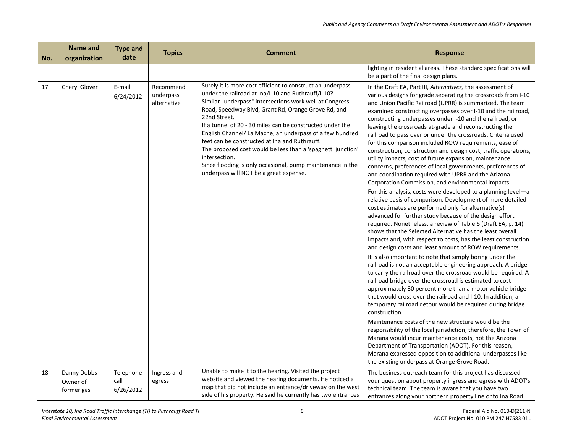| No. | Name and<br>organization              | <b>Type and</b><br>date        | <b>Topics</b>                         | <b>Comment</b>                                                                                                                                                                                                                                                                                                                                                                                                                                                                                                                                                                                                       | <b>Response</b>                                                                                                                                                                                                                                                                                                                                                                                                                                                                                                                                                                                                                                                                                                                                                                                                  |
|-----|---------------------------------------|--------------------------------|---------------------------------------|----------------------------------------------------------------------------------------------------------------------------------------------------------------------------------------------------------------------------------------------------------------------------------------------------------------------------------------------------------------------------------------------------------------------------------------------------------------------------------------------------------------------------------------------------------------------------------------------------------------------|------------------------------------------------------------------------------------------------------------------------------------------------------------------------------------------------------------------------------------------------------------------------------------------------------------------------------------------------------------------------------------------------------------------------------------------------------------------------------------------------------------------------------------------------------------------------------------------------------------------------------------------------------------------------------------------------------------------------------------------------------------------------------------------------------------------|
|     |                                       |                                |                                       |                                                                                                                                                                                                                                                                                                                                                                                                                                                                                                                                                                                                                      | lighting in residential areas. These standard specifications will<br>be a part of the final design plans.                                                                                                                                                                                                                                                                                                                                                                                                                                                                                                                                                                                                                                                                                                        |
| 17  | Cheryl Glover                         | E-mail<br>6/24/2012            | Recommend<br>underpass<br>alternative | Surely it is more cost efficient to construct an underpass<br>under the railroad at Ina/I-10 and Ruthrauff/I-10?<br>Similar "underpass" intersections work well at Congress<br>Road, Speedway Blvd, Grant Rd, Orange Grove Rd, and<br>22nd Street.<br>If a tunnel of 20 - 30 miles can be constructed under the<br>English Channel/ La Mache, an underpass of a few hundred<br>feet can be constructed at Ina and Ruthrauff.<br>The proposed cost would be less than a 'spaghetti junction'<br>intersection.<br>Since flooding is only occasional, pump maintenance in the<br>underpass will NOT be a great expense. | In the Draft EA, Part III, Alternatives, the assessment of<br>various designs for grade separating the crossroads from I-10<br>and Union Pacific Railroad (UPRR) is summarized. The team<br>examined constructing overpasses over I-10 and the railroad,<br>constructing underpasses under I-10 and the railroad, or<br>leaving the crossroads at-grade and reconstructing the<br>railroad to pass over or under the crossroads. Criteria used<br>for this comparison included ROW requirements, ease of<br>construction, construction and design cost, traffic operations,<br>utility impacts, cost of future expansion, maintenance<br>concerns, preferences of local governments, preferences of<br>and coordination required with UPRR and the Arizona<br>Corporation Commission, and environmental impacts. |
|     |                                       |                                |                                       |                                                                                                                                                                                                                                                                                                                                                                                                                                                                                                                                                                                                                      | For this analysis, costs were developed to a planning level- $\alpha$<br>relative basis of comparison. Development of more detailed<br>cost estimates are performed only for alternative(s)<br>advanced for further study because of the design effort<br>required. Nonetheless, a review of Table 6 (Draft EA, p. 14)<br>shows that the Selected Alternative has the least overall<br>impacts and, with respect to costs, has the least construction<br>and design costs and least amount of ROW requirements.                                                                                                                                                                                                                                                                                                  |
|     |                                       |                                |                                       |                                                                                                                                                                                                                                                                                                                                                                                                                                                                                                                                                                                                                      | It is also important to note that simply boring under the<br>railroad is not an acceptable engineering approach. A bridge<br>to carry the railroad over the crossroad would be required. A<br>railroad bridge over the crossroad is estimated to cost<br>approximately 30 percent more than a motor vehicle bridge<br>that would cross over the railroad and I-10. In addition, a<br>temporary railroad detour would be required during bridge<br>construction.                                                                                                                                                                                                                                                                                                                                                  |
|     |                                       |                                |                                       |                                                                                                                                                                                                                                                                                                                                                                                                                                                                                                                                                                                                                      | Maintenance costs of the new structure would be the<br>responsibility of the local jurisdiction; therefore, the Town of<br>Marana would incur maintenance costs, not the Arizona<br>Department of Transportation (ADOT). For this reason,<br>Marana expressed opposition to additional underpasses like<br>the existing underpass at Orange Grove Road.                                                                                                                                                                                                                                                                                                                                                                                                                                                          |
| 18  | Danny Dobbs<br>Owner of<br>former gas | Telephone<br>call<br>6/26/2012 | Ingress and<br>egress                 | Unable to make it to the hearing. Visited the project<br>website and viewed the hearing documents. He noticed a<br>map that did not include an entrance/driveway on the west<br>side of his property. He said he currently has two entrances                                                                                                                                                                                                                                                                                                                                                                         | The business outreach team for this project has discussed<br>your question about property ingress and egress with ADOT's<br>technical team. The team is aware that you have two<br>entrances along your northern property line onto Ina Road.                                                                                                                                                                                                                                                                                                                                                                                                                                                                                                                                                                    |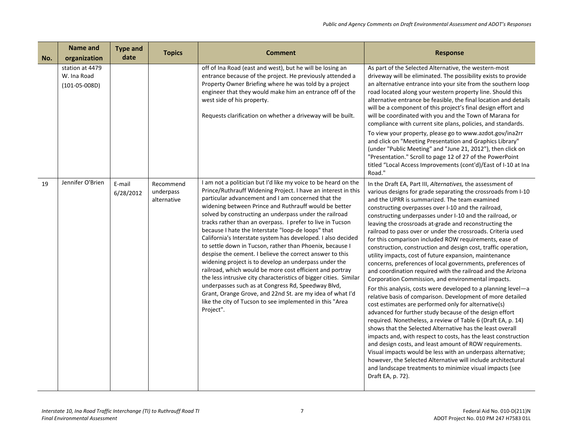| No. | <b>Name and</b><br>organization                   | <b>Type and</b><br>date | <b>Topics</b>                         | <b>Comment</b>                                                                                                                                                                                                                                                                                                                                                                                                                                                                                                                                                                                                                                                                                                                                                                                                                                                                                                                                                                                             | <b>Response</b>                                                                                                                                                                                                                                                                                                                                                                                                                                                                                                                                                                                                                                                                                                                                                                                                                                                                                                                                                                                                                                                                                                                                                                                                                                                                                                                                                                                                                                                                                                                |
|-----|---------------------------------------------------|-------------------------|---------------------------------------|------------------------------------------------------------------------------------------------------------------------------------------------------------------------------------------------------------------------------------------------------------------------------------------------------------------------------------------------------------------------------------------------------------------------------------------------------------------------------------------------------------------------------------------------------------------------------------------------------------------------------------------------------------------------------------------------------------------------------------------------------------------------------------------------------------------------------------------------------------------------------------------------------------------------------------------------------------------------------------------------------------|--------------------------------------------------------------------------------------------------------------------------------------------------------------------------------------------------------------------------------------------------------------------------------------------------------------------------------------------------------------------------------------------------------------------------------------------------------------------------------------------------------------------------------------------------------------------------------------------------------------------------------------------------------------------------------------------------------------------------------------------------------------------------------------------------------------------------------------------------------------------------------------------------------------------------------------------------------------------------------------------------------------------------------------------------------------------------------------------------------------------------------------------------------------------------------------------------------------------------------------------------------------------------------------------------------------------------------------------------------------------------------------------------------------------------------------------------------------------------------------------------------------------------------|
|     | station at 4479<br>W. Ina Road<br>$(101-05-008D)$ |                         |                                       | off of Ina Road (east and west), but he will be losing an<br>entrance because of the project. He previously attended a<br>Property Owner Briefing where he was told by a project<br>engineer that they would make him an entrance off of the<br>west side of his property.<br>Requests clarification on whether a driveway will be built.                                                                                                                                                                                                                                                                                                                                                                                                                                                                                                                                                                                                                                                                  | As part of the Selected Alternative, the western-most<br>driveway will be eliminated. The possibility exists to provide<br>an alternative entrance into your site from the southern loop<br>road located along your western property line. Should this<br>alternative entrance be feasible, the final location and details<br>will be a component of this project's final design effort and<br>will be coordinated with you and the Town of Marana for<br>compliance with current site plans, policies, and standards.<br>To view your property, please go to www.azdot.gov/ina2rr<br>and click on "Meeting Presentation and Graphics Library"<br>(under "Public Meeting" and "June 21, 2012"), then click on<br>"Presentation." Scroll to page 12 of 27 of the PowerPoint<br>titled "Local Access Improvements (cont'd)/East of I-10 at Ina<br>Road."                                                                                                                                                                                                                                                                                                                                                                                                                                                                                                                                                                                                                                                                         |
| 19  | Jennifer O'Brien                                  | E-mail<br>6/28/2012     | Recommend<br>underpass<br>alternative | I am not a politician but I'd like my voice to be heard on the<br>Prince/Ruthrauff Widening Project. I have an interest in this<br>particular advancement and I am concerned that the<br>widening between Prince and Ruthrauff would be better<br>solved by constructing an underpass under the railroad<br>tracks rather than an overpass. I prefer to live in Tucson<br>because I hate the Interstate "loop-de loops" that<br>California's Interstate system has developed. I also decided<br>to settle down in Tucson, rather than Phoenix, because I<br>despise the cement. I believe the correct answer to this<br>widening project is to develop an underpass under the<br>railroad, which would be more cost efficient and portray<br>the less intrusive city characteristics of bigger cities. Similar<br>underpasses such as at Congress Rd, Speedway Blvd,<br>Grant, Orange Grove, and 22nd St. are my idea of what I'd<br>like the city of Tucson to see implemented in this "Area<br>Project". | In the Draft EA, Part III, Alternatives, the assessment of<br>various designs for grade separating the crossroads from I-10<br>and the UPRR is summarized. The team examined<br>constructing overpasses over I-10 and the railroad,<br>constructing underpasses under I-10 and the railroad, or<br>leaving the crossroads at-grade and reconstructing the<br>railroad to pass over or under the crossroads. Criteria used<br>for this comparison included ROW requirements, ease of<br>construction, construction and design cost, traffic operation,<br>utility impacts, cost of future expansion, maintenance<br>concerns, preferences of local governments, preferences of<br>and coordination required with the railroad and the Arizona<br>Corporation Commission, and environmental impacts.<br>For this analysis, costs were developed to a planning level-a<br>relative basis of comparison. Development of more detailed<br>cost estimates are performed only for alternative(s)<br>advanced for further study because of the design effort<br>required. Nonetheless, a review of Table 6 (Draft EA, p. 14)<br>shows that the Selected Alternative has the least overall<br>impacts and, with respect to costs, has the least construction<br>and design costs, and least amount of ROW requirements.<br>Visual impacts would be less with an underpass alternative;<br>however, the Selected Alternative will include architectural<br>and landscape treatments to minimize visual impacts (see<br>Draft EA, p. 72). |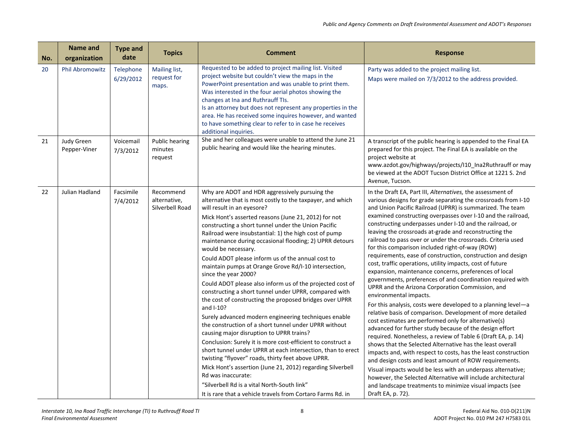| No. | Name and<br>organization   | <b>Type and</b><br>date | <b>Topics</b>                                | <b>Comment</b>                                                                                                                                                                                                                                                                                                                                                                                                                                                                                                                                                                                                                                                                                                                                                                                                                                                                                                                                                                                                                                                                                                                                                                                                                                                                            | <b>Response</b>                                                                                                                                                                                                                                                                                                                                                                                                                                                                                                                                                                                                                                                                                                                                                                                                                                                                                                                                                                                                                                                                                                                                                                                                                                                                                                                                                                                                                                                                                                                                               |
|-----|----------------------------|-------------------------|----------------------------------------------|-------------------------------------------------------------------------------------------------------------------------------------------------------------------------------------------------------------------------------------------------------------------------------------------------------------------------------------------------------------------------------------------------------------------------------------------------------------------------------------------------------------------------------------------------------------------------------------------------------------------------------------------------------------------------------------------------------------------------------------------------------------------------------------------------------------------------------------------------------------------------------------------------------------------------------------------------------------------------------------------------------------------------------------------------------------------------------------------------------------------------------------------------------------------------------------------------------------------------------------------------------------------------------------------|---------------------------------------------------------------------------------------------------------------------------------------------------------------------------------------------------------------------------------------------------------------------------------------------------------------------------------------------------------------------------------------------------------------------------------------------------------------------------------------------------------------------------------------------------------------------------------------------------------------------------------------------------------------------------------------------------------------------------------------------------------------------------------------------------------------------------------------------------------------------------------------------------------------------------------------------------------------------------------------------------------------------------------------------------------------------------------------------------------------------------------------------------------------------------------------------------------------------------------------------------------------------------------------------------------------------------------------------------------------------------------------------------------------------------------------------------------------------------------------------------------------------------------------------------------------|
| 20  | Phil Abromowitz            | Telephone<br>6/29/2012  | Mailing list,<br>request for<br>maps.        | Requested to be added to project mailing list. Visited<br>project website but couldn't view the maps in the<br>PowerPoint presentation and was unable to print them.<br>Was interested in the four aerial photos showing the<br>changes at Ina and Ruthrauff TIs.<br>Is an attorney but does not represent any properties in the<br>area. He has received some inquires however, and wanted<br>to have something clear to refer to in case he receives<br>additional inquiries.                                                                                                                                                                                                                                                                                                                                                                                                                                                                                                                                                                                                                                                                                                                                                                                                           | Party was added to the project mailing list.<br>Maps were mailed on 7/3/2012 to the address provided.                                                                                                                                                                                                                                                                                                                                                                                                                                                                                                                                                                                                                                                                                                                                                                                                                                                                                                                                                                                                                                                                                                                                                                                                                                                                                                                                                                                                                                                         |
| 21  | Judy Green<br>Pepper-Viner | Voicemail<br>7/3/2012   | Public hearing<br>minutes<br>request         | She and her colleagues were unable to attend the June 21<br>public hearing and would like the hearing minutes.                                                                                                                                                                                                                                                                                                                                                                                                                                                                                                                                                                                                                                                                                                                                                                                                                                                                                                                                                                                                                                                                                                                                                                            | A transcript of the public hearing is appended to the Final EA<br>prepared for this project. The Final EA is available on the<br>project website at<br>www.azdot.gov/highways/projects/I10_Ina2Ruthrauff or may<br>be viewed at the ADOT Tucson District Office at 1221 S. 2nd<br>Avenue, Tucson.                                                                                                                                                                                                                                                                                                                                                                                                                                                                                                                                                                                                                                                                                                                                                                                                                                                                                                                                                                                                                                                                                                                                                                                                                                                             |
| 22  | Julian Hadland             | Facsimile<br>7/4/2012   | Recommend<br>alternative,<br>Silverbell Road | Why are ADOT and HDR aggressively pursuing the<br>alternative that is most costly to the taxpayer, and which<br>will result in an eyesore?<br>Mick Hont's asserted reasons (June 21, 2012) for not<br>constructing a short tunnel under the Union Pacific<br>Railroad were insubstantial: 1) the high cost of pump<br>maintenance during occasional flooding; 2) UPRR detours<br>would be necessary.<br>Could ADOT please inform us of the annual cost to<br>maintain pumps at Orange Grove Rd/I-10 intersection,<br>since the year 2000?<br>Could ADOT please also inform us of the projected cost of<br>constructing a short tunnel under UPRR, compared with<br>the cost of constructing the proposed bridges over UPRR<br>and I-10?<br>Surely advanced modern engineering techniques enable<br>the construction of a short tunnel under UPRR without<br>causing major disruption to UPRR trains?<br>Conclusion: Surely it is more cost-efficient to construct a<br>short tunnel under UPRR at each intersection, than to erect<br>twisting "flyover" roads, thirty feet above UPRR.<br>Mick Hont's assertion (June 21, 2012) regarding Silverbell<br>Rd was inaccurate:<br>"Silverbell Rd is a vital North-South link"<br>It is rare that a vehicle travels from Cortaro Farms Rd. in | In the Draft EA, Part III, Alternatives, the assessment of<br>various designs for grade separating the crossroads from I-10<br>and Union Pacific Railroad (UPRR) is summarized. The team<br>examined constructing overpasses over I-10 and the railroad,<br>constructing underpasses under I-10 and the railroad, or<br>leaving the crossroads at-grade and reconstructing the<br>railroad to pass over or under the crossroads. Criteria used<br>for this comparison included right-of-way (ROW)<br>requirements, ease of construction, construction and design<br>cost, traffic operations, utility impacts, cost of future<br>expansion, maintenance concerns, preferences of local<br>governments, preferences of and coordination required with<br>UPRR and the Arizona Corporation Commission, and<br>environmental impacts.<br>For this analysis, costs were developed to a planning level-a<br>relative basis of comparison. Development of more detailed<br>cost estimates are performed only for alternative(s)<br>advanced for further study because of the design effort<br>required. Nonetheless, a review of Table 6 (Draft EA, p. 14)<br>shows that the Selected Alternative has the least overall<br>impacts and, with respect to costs, has the least construction<br>and design costs and least amount of ROW requirements.<br>Visual impacts would be less with an underpass alternative;<br>however, the Selected Alternative will include architectural<br>and landscape treatments to minimize visual impacts (see<br>Draft EA, p. 72). |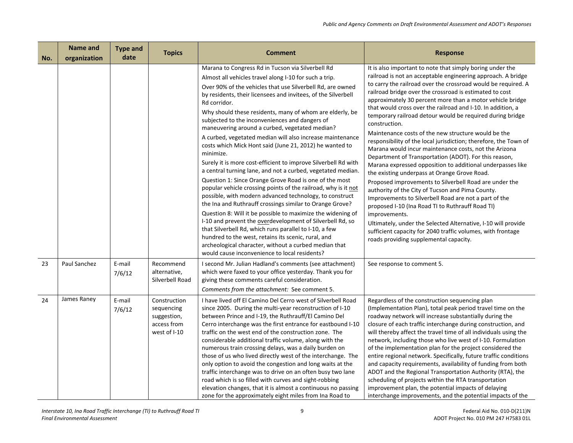| No. | <b>Name and</b><br>organization | <b>Type and</b><br>date | <b>Topics</b>                                                            | <b>Comment</b>                                                                                                                                                                                                                                                                                                                                                                                                                                                                                                                                                                                                                                                                                                                                                                                                                                                                                                                                                                                                                                                                                                                                                                                                                                                                                             | <b>Response</b>                                                                                                                                                                                                                                                                                                                                                                                                                                                                                                                                                                                                                                                                                                                                                                                                                                                                                                                                                                                                                                                                                                                                                                                                                                  |
|-----|---------------------------------|-------------------------|--------------------------------------------------------------------------|------------------------------------------------------------------------------------------------------------------------------------------------------------------------------------------------------------------------------------------------------------------------------------------------------------------------------------------------------------------------------------------------------------------------------------------------------------------------------------------------------------------------------------------------------------------------------------------------------------------------------------------------------------------------------------------------------------------------------------------------------------------------------------------------------------------------------------------------------------------------------------------------------------------------------------------------------------------------------------------------------------------------------------------------------------------------------------------------------------------------------------------------------------------------------------------------------------------------------------------------------------------------------------------------------------|--------------------------------------------------------------------------------------------------------------------------------------------------------------------------------------------------------------------------------------------------------------------------------------------------------------------------------------------------------------------------------------------------------------------------------------------------------------------------------------------------------------------------------------------------------------------------------------------------------------------------------------------------------------------------------------------------------------------------------------------------------------------------------------------------------------------------------------------------------------------------------------------------------------------------------------------------------------------------------------------------------------------------------------------------------------------------------------------------------------------------------------------------------------------------------------------------------------------------------------------------|
|     |                                 |                         |                                                                          | Marana to Congress Rd in Tucson via Silverbell Rd<br>Almost all vehicles travel along I-10 for such a trip.<br>Over 90% of the vehicles that use Silverbell Rd, are owned<br>by residents, their licensees and invitees, of the Silverbell<br>Rd corridor.<br>Why should these residents, many of whom are elderly, be<br>subjected to the inconveniences and dangers of<br>maneuvering around a curbed, vegetated median?<br>A curbed, vegetated median will also increase maintenance<br>costs which Mick Hont said (June 21, 2012) he wanted to<br>minimize.<br>Surely it is more cost-efficient to improve Silverbell Rd with<br>a central turning lane, and not a curbed, vegetated median.<br>Question 1: Since Orange Grove Road is one of the most<br>popular vehicle crossing points of the railroad, why is it not<br>possible, with modern advanced technology, to construct<br>the Ina and Ruthrauff crossings similar to Orange Grove?<br>Question 8: Will it be possible to maximize the widening of<br>I-10 and prevent the overdevelopment of Silverbell Rd, so<br>that Silverbell Rd, which runs parallel to I-10, a few<br>hundred to the west, retains its scenic, rural, and<br>archeological character, without a curbed median that<br>would cause inconvenience to local residents? | It is also important to note that simply boring under the<br>railroad is not an acceptable engineering approach. A bridge<br>to carry the railroad over the crossroad would be required. A<br>railroad bridge over the crossroad is estimated to cost<br>approximately 30 percent more than a motor vehicle bridge<br>that would cross over the railroad and I-10. In addition, a<br>temporary railroad detour would be required during bridge<br>construction.<br>Maintenance costs of the new structure would be the<br>responsibility of the local jurisdiction; therefore, the Town of<br>Marana would incur maintenance costs, not the Arizona<br>Department of Transportation (ADOT). For this reason,<br>Marana expressed opposition to additional underpasses like<br>the existing underpass at Orange Grove Road.<br>Proposed improvements to Silverbell Road are under the<br>authority of the City of Tucson and Pima County.<br>Improvements to Silverbell Road are not a part of the<br>proposed I-10 (Ina Road TI to Ruthrauff Road TI)<br>improvements.<br>Ultimately, under the Selected Alternative, I-10 will provide<br>sufficient capacity for 2040 traffic volumes, with frontage<br>roads providing supplemental capacity. |
| 23  | Paul Sanchez                    | E-mail<br>7/6/12        | Recommend<br>alternative,<br>Silverbell Road                             | I second Mr. Julian Hadland's comments (see attachment)<br>which were faxed to your office yesterday. Thank you for<br>giving these comments careful consideration.<br>Comments from the attachment: See comment 5.                                                                                                                                                                                                                                                                                                                                                                                                                                                                                                                                                                                                                                                                                                                                                                                                                                                                                                                                                                                                                                                                                        | See response to comment 5.                                                                                                                                                                                                                                                                                                                                                                                                                                                                                                                                                                                                                                                                                                                                                                                                                                                                                                                                                                                                                                                                                                                                                                                                                       |
| 24  | James Raney                     | E-mail<br>7/6/12        | Construction<br>sequencing<br>suggestion,<br>access from<br>west of I-10 | I have lived off El Camino Del Cerro west of Silverbell Road<br>since 2005. During the multi-year reconstruction of I-10<br>between Prince and I-19, the Ruthrauff/El Camino Del<br>Cerro interchange was the first entrance for eastbound I-10<br>traffic on the west end of the construction zone. The<br>considerable additional traffic volume, along with the<br>numerous train crossing delays, was a daily burden on<br>those of us who lived directly west of the interchange. The<br>only option to avoid the congestion and long waits at the<br>traffic interchange was to drive on an often busy two lane<br>road which is so filled with curves and sight-robbing<br>elevation changes, that it is almost a continuous no passing<br>zone for the approximately eight miles from Ina Road to                                                                                                                                                                                                                                                                                                                                                                                                                                                                                                  | Regardless of the construction sequencing plan<br>(Implementation Plan), total peak period travel time on the<br>roadway network will increase substantially during the<br>closure of each traffic interchange during construction, and<br>will thereby affect the travel time of all individuals using the<br>network, including those who live west of I-10. Formulation<br>of the implementation plan for the project considered the<br>entire regional network. Specifically, future traffic conditions<br>and capacity requirements, availability of funding from both<br>ADOT and the Regional Transportation Authority (RTA), the<br>scheduling of projects within the RTA transportation<br>improvement plan, the potential impacts of delaying<br>interchange improvements, and the potential impacts of the                                                                                                                                                                                                                                                                                                                                                                                                                            |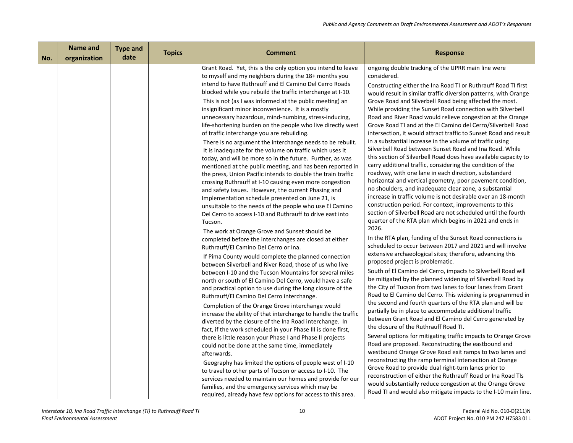| No. | Name and<br>organization | <b>Type and</b><br>date | <b>Topics</b> | <b>Comment</b>                                                                                                                                                                                                                                                                                                                                                                                                                                                                                                                                                                                                                                                                                                                                                                                                                                                                                                                                                                                                                                                                                                                                                                                                                                                                                                                                                                                                                                                                                                                                                                                                                                                                                                                                                                                                                                                                                                                                                                                                                                                                                                                                                                                                                                                                                                                                                      | <b>Response</b>                                                                                                                                                                                                                                                                                                                                                                                                                                                                                                                                                                                                                                                                                                                                                                                                                                                                                                                                                                                                                                                                                                                                                                                                                                                                                                                                                                                                                                                                                                                                                                                                                                                                                                                                                                                                                                                                                                                                                                                                                                                                                                                                                                                                                                                                                                                                                                                                                                                      |
|-----|--------------------------|-------------------------|---------------|---------------------------------------------------------------------------------------------------------------------------------------------------------------------------------------------------------------------------------------------------------------------------------------------------------------------------------------------------------------------------------------------------------------------------------------------------------------------------------------------------------------------------------------------------------------------------------------------------------------------------------------------------------------------------------------------------------------------------------------------------------------------------------------------------------------------------------------------------------------------------------------------------------------------------------------------------------------------------------------------------------------------------------------------------------------------------------------------------------------------------------------------------------------------------------------------------------------------------------------------------------------------------------------------------------------------------------------------------------------------------------------------------------------------------------------------------------------------------------------------------------------------------------------------------------------------------------------------------------------------------------------------------------------------------------------------------------------------------------------------------------------------------------------------------------------------------------------------------------------------------------------------------------------------------------------------------------------------------------------------------------------------------------------------------------------------------------------------------------------------------------------------------------------------------------------------------------------------------------------------------------------------------------------------------------------------------------------------------------------------|----------------------------------------------------------------------------------------------------------------------------------------------------------------------------------------------------------------------------------------------------------------------------------------------------------------------------------------------------------------------------------------------------------------------------------------------------------------------------------------------------------------------------------------------------------------------------------------------------------------------------------------------------------------------------------------------------------------------------------------------------------------------------------------------------------------------------------------------------------------------------------------------------------------------------------------------------------------------------------------------------------------------------------------------------------------------------------------------------------------------------------------------------------------------------------------------------------------------------------------------------------------------------------------------------------------------------------------------------------------------------------------------------------------------------------------------------------------------------------------------------------------------------------------------------------------------------------------------------------------------------------------------------------------------------------------------------------------------------------------------------------------------------------------------------------------------------------------------------------------------------------------------------------------------------------------------------------------------------------------------------------------------------------------------------------------------------------------------------------------------------------------------------------------------------------------------------------------------------------------------------------------------------------------------------------------------------------------------------------------------------------------------------------------------------------------------------------------------|
|     |                          |                         |               | Grant Road. Yet, this is the only option you intend to leave<br>to myself and my neighbors during the 18+ months you<br>intend to have Ruthrauff and El Camino Del Cerro Roads<br>blocked while you rebuild the traffic interchange at I-10.<br>This is not (as I was informed at the public meeting) an<br>insignificant minor inconvenience. It is a mostly<br>unnecessary hazardous, mind-numbing, stress-inducing,<br>life-shortening burden on the people who live directly west<br>of traffic interchange you are rebuilding.<br>There is no argument the interchange needs to be rebuilt.<br>It is inadequate for the volume on traffic which uses it<br>today, and will be more so in the future. Further, as was<br>mentioned at the public meeting, and has been reported in<br>the press, Union Pacific intends to double the train traffic<br>crossing Ruthrauff at I-10 causing even more congestion<br>and safety issues. However, the current Phasing and<br>Implementation schedule presented on June 21, is<br>unsuitable to the needs of the people who use El Camino<br>Del Cerro to access I-10 and Ruthrauff to drive east into<br>Tucson.<br>The work at Orange Grove and Sunset should be<br>completed before the interchanges are closed at either<br>Ruthrauff/El Camino Del Cerro or Ina.<br>If Pima County would complete the planned connection<br>between Silverbell and River Road, those of us who live<br>between I-10 and the Tucson Mountains for several miles<br>north or south of El Camino Del Cerro, would have a safe<br>and practical option to use during the long closure of the<br>Ruthrauff/El Camino Del Cerro interchange.<br>Completion of the Orange Grove interchange would<br>increase the ability of that interchange to handle the traffic<br>diverted by the closure of the Ina Road interchange. In<br>fact, if the work scheduled in your Phase III is done first,<br>there is little reason your Phase I and Phase II projects<br>could not be done at the same time, immediately<br>afterwards.<br>Geography has limited the options of people west of I-10<br>to travel to other parts of Tucson or access to I-10. The<br>services needed to maintain our homes and provide for our<br>families, and the emergency services which may be<br>required, already have few options for access to this area. | ongoing double tracking of the UPRR main line were<br>considered.<br>Constructing either the Ina Road TI or Ruthrauff Road TI first<br>would result in similar traffic diversion patterns, with Orange<br>Grove Road and Silverbell Road being affected the most.<br>While providing the Sunset Road connection with Silverbell<br>Road and River Road would relieve congestion at the Orange<br>Grove Road TI and at the El Camino del Cerro/Silverbell Road<br>intersection, it would attract traffic to Sunset Road and result<br>in a substantial increase in the volume of traffic using<br>Silverbell Road between Sunset Road and Ina Road. While<br>this section of Silverbell Road does have available capacity to<br>carry additional traffic, considering the condition of the<br>roadway, with one lane in each direction, substandard<br>horizontal and vertical geometry, poor pavement condition,<br>no shoulders, and inadequate clear zone, a substantial<br>increase in traffic volume is not desirable over an 18-month<br>construction period. For context, improvements to this<br>section of Silverbell Road are not scheduled until the fourth<br>quarter of the RTA plan which begins in 2021 and ends in<br>2026.<br>In the RTA plan, funding of the Sunset Road connections is<br>scheduled to occur between 2017 and 2021 and will involve<br>extensive archaeological sites; therefore, advancing this<br>proposed project is problematic.<br>South of El Camino del Cerro, impacts to Silverbell Road will<br>be mitigated by the planned widening of Silverbell Road by<br>the City of Tucson from two lanes to four lanes from Grant<br>Road to El Camino del Cerro. This widening is programmed in<br>the second and fourth quarters of the RTA plan and will be<br>partially be in place to accommodate additional traffic<br>between Grant Road and El Camino del Cerro generated by<br>the closure of the Ruthrauff Road TI.<br>Several options for mitigating traffic impacts to Orange Grove<br>Road are proposed. Reconstructing the eastbound and<br>westbound Orange Grove Road exit ramps to two lanes and<br>reconstructing the ramp terminal intersection at Orange<br>Grove Road to provide dual right-turn lanes prior to<br>reconstruction of either the Ruthrauff Road or Ina Road TIs<br>would substantially reduce congestion at the Orange Grove<br>Road TI and would also mitigate impacts to the I-10 main line. |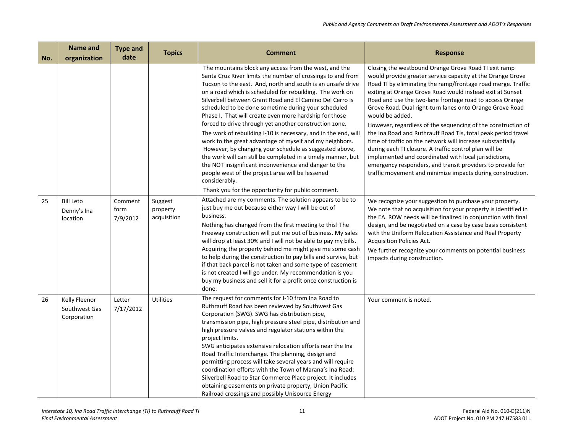| No. | <b>Name and</b><br>organization               | <b>Type and</b><br>date     | <b>Topics</b>                      | <b>Comment</b>                                                                                                                                                                                                                                                                                                                                                                                                                                                                                                                                                                                                                                                                                                                                                                                                                                                                                                                   | <b>Response</b>                                                                                                                                                                                                                                                                                                                                                                                                                                                                                                                                                                                                                                                                                                                                                                                                                          |
|-----|-----------------------------------------------|-----------------------------|------------------------------------|----------------------------------------------------------------------------------------------------------------------------------------------------------------------------------------------------------------------------------------------------------------------------------------------------------------------------------------------------------------------------------------------------------------------------------------------------------------------------------------------------------------------------------------------------------------------------------------------------------------------------------------------------------------------------------------------------------------------------------------------------------------------------------------------------------------------------------------------------------------------------------------------------------------------------------|------------------------------------------------------------------------------------------------------------------------------------------------------------------------------------------------------------------------------------------------------------------------------------------------------------------------------------------------------------------------------------------------------------------------------------------------------------------------------------------------------------------------------------------------------------------------------------------------------------------------------------------------------------------------------------------------------------------------------------------------------------------------------------------------------------------------------------------|
|     |                                               |                             |                                    | The mountains block any access from the west, and the<br>Santa Cruz River limits the number of crossings to and from<br>Tucson to the east. And, north and south is an unsafe drive<br>on a road which is scheduled for rebuilding. The work on<br>Silverbell between Grant Road and El Camino Del Cerro is<br>scheduled to be done sometime during your scheduled<br>Phase I. That will create even more hardship for those<br>forced to drive through yet another construction zone.<br>The work of rebuilding I-10 is necessary, and in the end, will<br>work to the great advantage of myself and my neighbors.<br>However, by changing your schedule as suggested above,<br>the work will can still be completed in a timely manner, but<br>the NOT insignificant inconvenience and danger to the<br>people west of the project area will be lessened<br>considerably.<br>Thank you for the opportunity for public comment. | Closing the westbound Orange Grove Road TI exit ramp<br>would provide greater service capacity at the Orange Grove<br>Road TI by eliminating the ramp/frontage road merge. Traffic<br>exiting at Orange Grove Road would instead exit at Sunset<br>Road and use the two-lane frontage road to access Orange<br>Grove Road. Dual right-turn lanes onto Orange Grove Road<br>would be added.<br>However, regardless of the sequencing of the construction of<br>the Ina Road and Ruthrauff Road TIs, total peak period travel<br>time of traffic on the network will increase substantially<br>during each TI closure. A traffic control plan will be<br>implemented and coordinated with local jurisdictions,<br>emergency responders, and transit providers to provide for<br>traffic movement and minimize impacts during construction. |
| 25  | <b>Bill Leto</b><br>Denny's Ina<br>location   | Comment<br>form<br>7/9/2012 | Suggest<br>property<br>acquisition | Attached are my comments. The solution appears to be to<br>just buy me out because either way I will be out of<br>business.<br>Nothing has changed from the first meeting to this! The<br>Freeway construction will put me out of business. My sales<br>will drop at least 30% and I will not be able to pay my bills.<br>Acquiring the property behind me might give me some cash<br>to help during the construction to pay bills and survive, but<br>if that back parcel is not taken and some type of easement<br>is not created I will go under. My recommendation is you<br>buy my business and sell it for a profit once construction is<br>done.                                                                                                                                                                                                                                                                          | We recognize your suggestion to purchase your property.<br>We note that no acquisition for your property is identified in<br>the EA. ROW needs will be finalized in conjunction with final<br>design, and be negotiated on a case by case basis consistent<br>with the Uniform Relocation Assistance and Real Property<br>Acquisition Policies Act.<br>We further recognize your comments on potential business<br>impacts during construction.                                                                                                                                                                                                                                                                                                                                                                                          |
| 26  | Kelly Fleenor<br>Southwest Gas<br>Corporation | Letter<br>7/17/2012         | Utilities                          | The request for comments for I-10 from Ina Road to<br>Ruthrauff Road has been reviewed by Southwest Gas<br>Corporation (SWG). SWG has distribution pipe,<br>transmission pipe, high pressure steel pipe, distribution and<br>high pressure valves and regulator stations within the<br>project limits.<br>SWG anticipates extensive relocation efforts near the Ina<br>Road Traffic Interchange. The planning, design and<br>permitting process will take several years and will require<br>coordination efforts with the Town of Marana's Ina Road:<br>Silverbell Road to Star Commerce Place project. It includes<br>obtaining easements on private property, Union Pacific<br>Railroad crossings and possibly Unisource Energy                                                                                                                                                                                                | Your comment is noted.                                                                                                                                                                                                                                                                                                                                                                                                                                                                                                                                                                                                                                                                                                                                                                                                                   |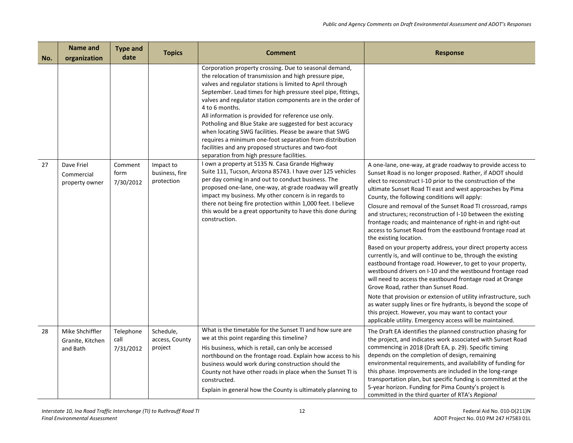| No. | <b>Name and</b><br>organization                 | <b>Type and</b><br>date        | <b>Topics</b>                             | <b>Comment</b>                                                                                                                                                                                                                                                                                                                                                                                                                                                                                                                                                                                                                                                               | <b>Response</b>                                                                                                                                                                                                                                                                                                                                                                                                                                                                                                                                                                                                                                                                                                                                                                                                                                                                                                                                                                                                                                                                                                                                                                                           |
|-----|-------------------------------------------------|--------------------------------|-------------------------------------------|------------------------------------------------------------------------------------------------------------------------------------------------------------------------------------------------------------------------------------------------------------------------------------------------------------------------------------------------------------------------------------------------------------------------------------------------------------------------------------------------------------------------------------------------------------------------------------------------------------------------------------------------------------------------------|-----------------------------------------------------------------------------------------------------------------------------------------------------------------------------------------------------------------------------------------------------------------------------------------------------------------------------------------------------------------------------------------------------------------------------------------------------------------------------------------------------------------------------------------------------------------------------------------------------------------------------------------------------------------------------------------------------------------------------------------------------------------------------------------------------------------------------------------------------------------------------------------------------------------------------------------------------------------------------------------------------------------------------------------------------------------------------------------------------------------------------------------------------------------------------------------------------------|
|     |                                                 |                                |                                           | Corporation property crossing. Due to seasonal demand,<br>the relocation of transmission and high pressure pipe,<br>valves and regulator stations is limited to April through<br>September. Lead times for high pressure steel pipe, fittings,<br>valves and regulator station components are in the order of<br>4 to 6 months.<br>All information is provided for reference use only.<br>Potholing and Blue Stake are suggested for best accuracy<br>when locating SWG facilities. Please be aware that SWG<br>requires a minimum one-foot separation from distribution<br>facilities and any proposed structures and two-foot<br>separation from high pressure facilities. |                                                                                                                                                                                                                                                                                                                                                                                                                                                                                                                                                                                                                                                                                                                                                                                                                                                                                                                                                                                                                                                                                                                                                                                                           |
| 27  | Dave Friel<br>Commercial<br>property owner      | Comment<br>form<br>7/30/2012   | Impact to<br>business, fire<br>protection | I own a property at 5135 N. Casa Grande Highway<br>Suite 111, Tucson, Arizona 85743. I have over 125 vehicles<br>per day coming in and out to conduct business. The<br>proposed one-lane, one-way, at-grade roadway will greatly<br>impact my business. My other concern is in regards to<br>there not being fire protection within 1,000 feet. I believe<br>this would be a great opportunity to have this done during<br>construction.                                                                                                                                                                                                                                     | A one-lane, one-way, at grade roadway to provide access to<br>Sunset Road is no longer proposed. Rather, if ADOT should<br>elect to reconstruct I-10 prior to the construction of the<br>ultimate Sunset Road TI east and west approaches by Pima<br>County, the following conditions will apply:<br>Closure and removal of the Sunset Road TI crossroad, ramps<br>and structures; reconstruction of I-10 between the existing<br>frontage roads; and maintenance of right-in and right-out<br>access to Sunset Road from the eastbound frontage road at<br>the existing location.<br>Based on your property address, your direct property access<br>currently is, and will continue to be, through the existing<br>eastbound frontage road. However, to get to your property,<br>westbound drivers on I-10 and the westbound frontage road<br>will need to access the eastbound frontage road at Orange<br>Grove Road, rather than Sunset Road.<br>Note that provision or extension of utility infrastructure, such<br>as water supply lines or fire hydrants, is beyond the scope of<br>this project. However, you may want to contact your<br>applicable utility. Emergency access will be maintained. |
| 28  | Mike Shchiffler<br>Granite, Kitchen<br>and Bath | Telephone<br>call<br>7/31/2012 | Schedule,<br>access, County<br>project    | What is the timetable for the Sunset TI and how sure are<br>we at this point regarding this timeline?<br>His business, which is retail, can only be accessed<br>northbound on the frontage road. Explain how access to his<br>business would work during construction should the<br>County not have other roads in place when the Sunset TI is<br>constructed.<br>Explain in general how the County is ultimately planning to                                                                                                                                                                                                                                                | The Draft EA identifies the planned construction phasing for<br>the project, and indicates work associated with Sunset Road<br>commencing in 2018 (Draft EA, p. 29). Specific timing<br>depends on the completion of design, remaining<br>environmental requirements, and availability of funding for<br>this phase. Improvements are included in the long-range<br>transportation plan, but specific funding is committed at the<br>5-year horizon. Funding for Pima County's project is<br>committed in the third quarter of RTA's Regional                                                                                                                                                                                                                                                                                                                                                                                                                                                                                                                                                                                                                                                             |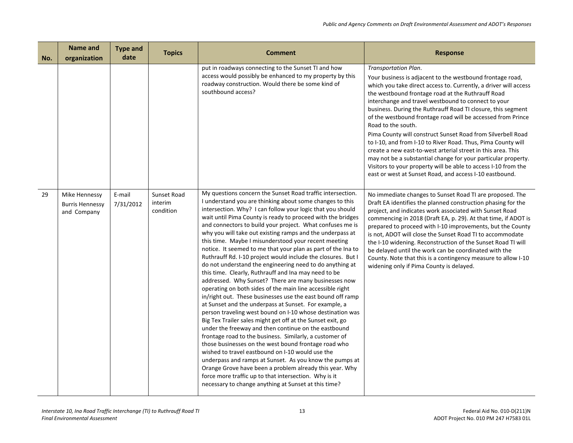| No. | Name and<br>organization                               | <b>Type and</b><br>date | <b>Topics</b>                       | <b>Comment</b>                                                                                                                                                                                                                                                                                                                                                                                                                                                                                                                                                                                                                                                                                                                                                                                                                                                                                                                                                                                                                                                                                                                                                                                                                                                                                                                                                                                                                                                                                                                         | <b>Response</b>                                                                                                                                                                                                                                                                                                                                                                                                                                                                                                                                                                                                                                                                                                                                                                                                     |
|-----|--------------------------------------------------------|-------------------------|-------------------------------------|----------------------------------------------------------------------------------------------------------------------------------------------------------------------------------------------------------------------------------------------------------------------------------------------------------------------------------------------------------------------------------------------------------------------------------------------------------------------------------------------------------------------------------------------------------------------------------------------------------------------------------------------------------------------------------------------------------------------------------------------------------------------------------------------------------------------------------------------------------------------------------------------------------------------------------------------------------------------------------------------------------------------------------------------------------------------------------------------------------------------------------------------------------------------------------------------------------------------------------------------------------------------------------------------------------------------------------------------------------------------------------------------------------------------------------------------------------------------------------------------------------------------------------------|---------------------------------------------------------------------------------------------------------------------------------------------------------------------------------------------------------------------------------------------------------------------------------------------------------------------------------------------------------------------------------------------------------------------------------------------------------------------------------------------------------------------------------------------------------------------------------------------------------------------------------------------------------------------------------------------------------------------------------------------------------------------------------------------------------------------|
|     |                                                        |                         |                                     | put in roadways connecting to the Sunset TI and how<br>access would possibly be enhanced to my property by this<br>roadway construction. Would there be some kind of<br>southbound access?                                                                                                                                                                                                                                                                                                                                                                                                                                                                                                                                                                                                                                                                                                                                                                                                                                                                                                                                                                                                                                                                                                                                                                                                                                                                                                                                             | Transportation Plan.<br>Your business is adjacent to the westbound frontage road,<br>which you take direct access to. Currently, a driver will access<br>the westbound frontage road at the Ruthrauff Road<br>interchange and travel westbound to connect to your<br>business. During the Ruthrauff Road TI closure, this segment<br>of the westbound frontage road will be accessed from Prince<br>Road to the south.<br>Pima County will construct Sunset Road from Silverbell Road<br>to I-10, and from I-10 to River Road. Thus, Pima County will<br>create a new east-to-west arterial street in this area. This<br>may not be a substantial change for your particular property.<br>Visitors to your property will be able to access I-10 from the<br>east or west at Sunset Road, and access I-10 eastbound. |
| 29  | Mike Hennessy<br><b>Burris Hennessy</b><br>and Company | E-mail<br>7/31/2012     | Sunset Road<br>interim<br>condition | My questions concern the Sunset Road traffic intersection.<br>I understand you are thinking about some changes to this<br>intersection. Why? I can follow your logic that you should<br>wait until Pima County is ready to proceed with the bridges<br>and connectors to build your project. What confuses me is<br>why you will take out existing ramps and the underpass at<br>this time. Maybe I misunderstood your recent meeting<br>notice. It seemed to me that your plan as part of the Ina to<br>Ruthrauff Rd. I-10 project would include the closures. But I<br>do not understand the engineering need to do anything at<br>this time. Clearly, Ruthrauff and Ina may need to be<br>addressed. Why Sunset? There are many businesses now<br>operating on both sides of the main line accessible right<br>in/right out. These businesses use the east bound off ramp<br>at Sunset and the underpass at Sunset. For example, a<br>person traveling west bound on I-10 whose destination was<br>Big Tex Trailer sales might get off at the Sunset exit, go<br>under the freeway and then continue on the eastbound<br>frontage road to the business. Similarly, a customer of<br>those businesses on the west bound frontage road who<br>wished to travel eastbound on I-10 would use the<br>underpass and ramps at Sunset. As you know the pumps at<br>Orange Grove have been a problem already this year. Why<br>force more traffic up to that intersection. Why is it<br>necessary to change anything at Sunset at this time? | No immediate changes to Sunset Road TI are proposed. The<br>Draft EA identifies the planned construction phasing for the<br>project, and indicates work associated with Sunset Road<br>commencing in 2018 (Draft EA, p. 29). At that time, if ADOT is<br>prepared to proceed with I-10 improvements, but the County<br>is not, ADOT will close the Sunset Road TI to accommodate<br>the I-10 widening. Reconstruction of the Sunset Road TI will<br>be delayed until the work can be coordinated with the<br>County. Note that this is a contingency measure to allow I-10<br>widening only if Pima County is delayed.                                                                                                                                                                                              |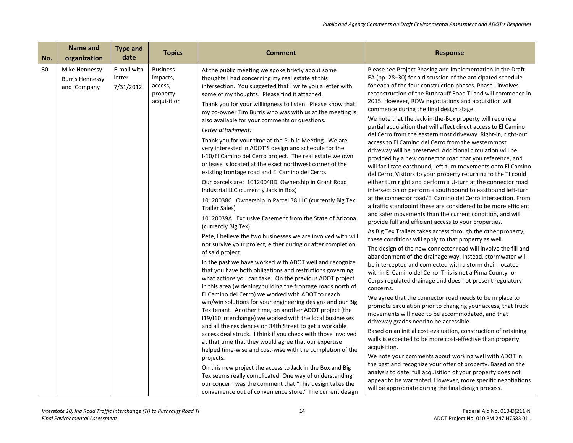| No. | Name and<br>organization                               | <b>Type and</b><br>date            | <b>Topics</b>                                                     | <b>Comment</b>                                                                                                                                                                                                                                                                                                                                                                                                                                                                                                                                                                                                                                                                                                                                                                                                                                                                                                                                                                                                                                                                                                                                                                                                                                                                                                                                                                                                                                                                                                                                                                                                                                                                                                                                                                                                                                                                                                                                                                                                              | <b>Response</b>                                                                                                                                                                                                                                                                                                                                                                                                                                                                                                                                                                                                                                                                                                                                                                                                                                                                                                                                                                                                                                                                                                                                                                                                                                                                                                                                                                                                                                                                                                                                                                                                                                                                                                                                                                                                                                                                                                                                                                                                                                                                                                                                                                                                                                                                                                                                              |
|-----|--------------------------------------------------------|------------------------------------|-------------------------------------------------------------------|-----------------------------------------------------------------------------------------------------------------------------------------------------------------------------------------------------------------------------------------------------------------------------------------------------------------------------------------------------------------------------------------------------------------------------------------------------------------------------------------------------------------------------------------------------------------------------------------------------------------------------------------------------------------------------------------------------------------------------------------------------------------------------------------------------------------------------------------------------------------------------------------------------------------------------------------------------------------------------------------------------------------------------------------------------------------------------------------------------------------------------------------------------------------------------------------------------------------------------------------------------------------------------------------------------------------------------------------------------------------------------------------------------------------------------------------------------------------------------------------------------------------------------------------------------------------------------------------------------------------------------------------------------------------------------------------------------------------------------------------------------------------------------------------------------------------------------------------------------------------------------------------------------------------------------------------------------------------------------------------------------------------------------|--------------------------------------------------------------------------------------------------------------------------------------------------------------------------------------------------------------------------------------------------------------------------------------------------------------------------------------------------------------------------------------------------------------------------------------------------------------------------------------------------------------------------------------------------------------------------------------------------------------------------------------------------------------------------------------------------------------------------------------------------------------------------------------------------------------------------------------------------------------------------------------------------------------------------------------------------------------------------------------------------------------------------------------------------------------------------------------------------------------------------------------------------------------------------------------------------------------------------------------------------------------------------------------------------------------------------------------------------------------------------------------------------------------------------------------------------------------------------------------------------------------------------------------------------------------------------------------------------------------------------------------------------------------------------------------------------------------------------------------------------------------------------------------------------------------------------------------------------------------------------------------------------------------------------------------------------------------------------------------------------------------------------------------------------------------------------------------------------------------------------------------------------------------------------------------------------------------------------------------------------------------------------------------------------------------------------------------------------------------|
| 30  | Mike Hennessy<br><b>Burris Hennessy</b><br>and Company | E-mail with<br>letter<br>7/31/2012 | <b>Business</b><br>impacts,<br>access,<br>property<br>acquisition | At the public meeting we spoke briefly about some<br>thoughts I had concerning my real estate at this<br>intersection. You suggested that I write you a letter with<br>some of my thoughts. Please find it attached.<br>Thank you for your willingness to listen. Please know that<br>my co-owner Tim Burris who was with us at the meeting is<br>also available for your comments or questions.<br>Letter attachment:<br>Thank you for your time at the Public Meeting. We are<br>very interested in ADOT'S design and schedule for the<br>I-10/El Camino del Cerro project. The real estate we own<br>or lease is located at the exact northwest corner of the<br>existing frontage road and El Camino del Cerro.<br>Our parcels are: 10120040D Ownership in Grant Road<br>Industrial LLC (currently Jack in Box)<br>10120038C Ownership in Parcel 38 LLC (currently Big Tex<br><b>Trailer Sales)</b><br>10120039A Exclusive Easement from the State of Arizona<br>(currently Big Tex)<br>Pete, I believe the two businesses we are involved with will<br>not survive your project, either during or after completion<br>of said project.<br>In the past we have worked with ADOT well and recognize<br>that you have both obligations and restrictions governing<br>what actions you can take. On the previous ADOT project<br>in this area (widening/building the frontage roads north of<br>El Camino del Cerro) we worked with ADOT to reach<br>win/win solutions for your engineering designs and our Big<br>Tex tenant. Another time, on another ADOT project (the<br>119/110 interchange) we worked with the local businesses<br>and all the residences on 34th Street to get a workable<br>access deal struck. I think if you check with those involved<br>at that time that they would agree that our expertise<br>helped time-wise and cost-wise with the completion of the<br>projects.<br>On this new project the access to Jack in the Box and Big<br>Tex seems really complicated. One way of understanding | Please see Project Phasing and Implementation in the Draft<br>EA (pp. 28–30) for a discussion of the anticipated schedule<br>for each of the four construction phases. Phase I involves<br>reconstruction of the Ruthrauff Road TI and will commence in<br>2015. However, ROW negotiations and acquisition will<br>commence during the final design stage.<br>We note that the Jack-in-the-Box property will require a<br>partial acquisition that will affect direct access to El Camino<br>del Cerro from the easternmost driveway. Right-in, right-out<br>access to El Camino del Cerro from the westernmost<br>driveway will be preserved. Additional circulation will be<br>provided by a new connector road that you reference, and<br>will facilitate eastbound, left-turn movements onto El Camino<br>del Cerro. Visitors to your property returning to the TI could<br>either turn right and perform a U-turn at the connector road<br>intersection or perform a southbound to eastbound left-turn<br>at the connector road/El Camino del Cerro intersection. From<br>a traffic standpoint these are considered to be more efficient<br>and safer movements than the current condition, and will<br>provide full and efficient access to your properties.<br>As Big Tex Trailers takes access through the other property,<br>these conditions will apply to that property as well.<br>The design of the new connector road will involve the fill and<br>abandonment of the drainage way. Instead, stormwater will<br>be intercepted and connected with a storm drain located<br>within El Camino del Cerro. This is not a Pima County- or<br>Corps-regulated drainage and does not present regulatory<br>concerns.<br>We agree that the connector road needs to be in place to<br>promote circulation prior to changing your access, that truck<br>movements will need to be accommodated, and that<br>driveway grades need to be accessible.<br>Based on an initial cost evaluation, construction of retaining<br>walls is expected to be more cost-effective than property<br>acquisition.<br>We note your comments about working well with ADOT in<br>the past and recognize your offer of property. Based on the<br>analysis to date, full acquisition of your property does not<br>appear to be warranted. However, more specific negotiations |
|     |                                                        |                                    |                                                                   | our concern was the comment that "This design takes the<br>convenience out of convenience store." The current design                                                                                                                                                                                                                                                                                                                                                                                                                                                                                                                                                                                                                                                                                                                                                                                                                                                                                                                                                                                                                                                                                                                                                                                                                                                                                                                                                                                                                                                                                                                                                                                                                                                                                                                                                                                                                                                                                                        | will be appropriate during the final design process.                                                                                                                                                                                                                                                                                                                                                                                                                                                                                                                                                                                                                                                                                                                                                                                                                                                                                                                                                                                                                                                                                                                                                                                                                                                                                                                                                                                                                                                                                                                                                                                                                                                                                                                                                                                                                                                                                                                                                                                                                                                                                                                                                                                                                                                                                                         |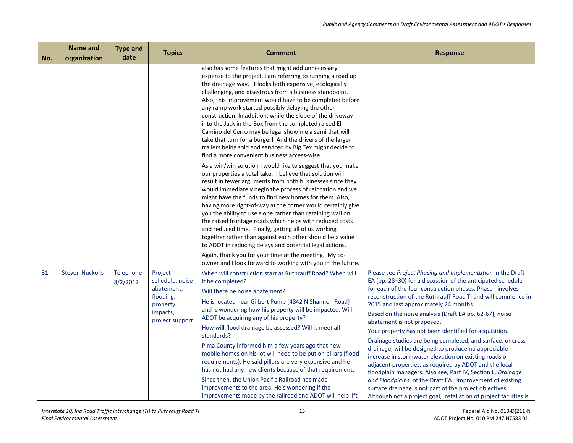| No. | <b>Name and</b><br>organization | <b>Type and</b><br>date | <b>Topics</b>                                                                                    | <b>Comment</b>                                                                                                                                                                                                                                                                                                                                                                                                                                                                                                                                                                                                                                                                                                                                                                                                                                                                                                                                                                                                                                                                                                                                                                                                                                                                                                                                                                                                                                                                                                                        | <b>Response</b>                                                                                                                                                                                                                                                                                                                                                                                                                                                                                                                                                                                                                                                                                                                                                                                                                                                                                                                                              |
|-----|---------------------------------|-------------------------|--------------------------------------------------------------------------------------------------|---------------------------------------------------------------------------------------------------------------------------------------------------------------------------------------------------------------------------------------------------------------------------------------------------------------------------------------------------------------------------------------------------------------------------------------------------------------------------------------------------------------------------------------------------------------------------------------------------------------------------------------------------------------------------------------------------------------------------------------------------------------------------------------------------------------------------------------------------------------------------------------------------------------------------------------------------------------------------------------------------------------------------------------------------------------------------------------------------------------------------------------------------------------------------------------------------------------------------------------------------------------------------------------------------------------------------------------------------------------------------------------------------------------------------------------------------------------------------------------------------------------------------------------|--------------------------------------------------------------------------------------------------------------------------------------------------------------------------------------------------------------------------------------------------------------------------------------------------------------------------------------------------------------------------------------------------------------------------------------------------------------------------------------------------------------------------------------------------------------------------------------------------------------------------------------------------------------------------------------------------------------------------------------------------------------------------------------------------------------------------------------------------------------------------------------------------------------------------------------------------------------|
|     |                                 |                         |                                                                                                  | also has some features that might add unnecessary<br>expense to the project. I am referring to running a road up<br>the drainage way. It looks both expensive, ecologically<br>challenging, and disastrous from a business standpoint.<br>Also, this improvement would have to be completed before<br>any ramp work started possibly delaying the other<br>construction. In addition, while the slope of the driveway<br>into the Jack in the Box from the completed raised El<br>Camino del Cerro may be legal show me a semi that will<br>take that turn for a burger! And the drivers of the larger<br>trailers being sold and serviced by Big Tex might decide to<br>find a more convenient business access-wise.<br>As a win/win solution I would like to suggest that you make<br>our properties a total take. I believe that solution will<br>result in fewer arguments from both businesses since they<br>would immediately begin the process of relocation and we<br>might have the funds to find new homes for them. Also,<br>having more right-of-way at the corner would certainly give<br>you the ability to use slope rather than retaining wall on<br>the raised frontage roads which helps with reduced costs<br>and reduced time. Finally, getting all of us working<br>together rather than against each other should be a value<br>to ADOT in reducing delays and potential legal actions.<br>Again, thank you for your time at the meeting. My co-<br>owner and I look forward to working with you in the future. |                                                                                                                                                                                                                                                                                                                                                                                                                                                                                                                                                                                                                                                                                                                                                                                                                                                                                                                                                              |
| 31  | <b>Steven Nuckolls</b>          | Telephone<br>8/2/2012   | Project<br>schedule, noise<br>abatement,<br>flooding,<br>property<br>impacts,<br>project support | When will construction start at Ruthrauff Road? When will<br>it be completed?<br>Will there be noise abatement?<br>He is located near Gilbert Pump [4842 N Shannon Road]<br>and is wondering how his property will be impacted. Will<br>ADOT be acquiring any of his property?<br>How will flood drainage be assessed? Will it meet all<br>standards?<br>Pima County informed him a few years ago that new<br>mobile homes on his lot will need to be put on pillars (flood<br>requirements). He said pillars are very expensive and he<br>has not had any new clients because of that requirement.<br>Since then, the Union Pacific Railroad has made<br>improvements to the area. He's wondering if the<br>improvements made by the railroad and ADOT will help lift                                                                                                                                                                                                                                                                                                                                                                                                                                                                                                                                                                                                                                                                                                                                                                | Please see Project Phasing and Implementation in the Draft<br>EA (pp. 28–30) for a discussion of the anticipated schedule<br>for each of the four construction phases. Phase I involves<br>reconstruction of the Ruthrauff Road TI and will commence in<br>2015 and last approximately 24 months.<br>Based on the noise analysis (Draft EA pp. 62-67), noise<br>abatement is not proposed.<br>Your property has not been identified for acquisition.<br>Drainage studies are being completed, and surface, or cross-<br>drainage, will be designed to produce no appreciable<br>increase in stormwater elevation on existing roads or<br>adjacent properties, as required by ADOT and the local<br>floodplain managers. Also see, Part IV, Section L, Drainage<br>and Floodplains, of the Draft EA. Improvement of existing<br>surface drainage is not part of the project objectives.<br>Although not a project goal, installation of project facilities is |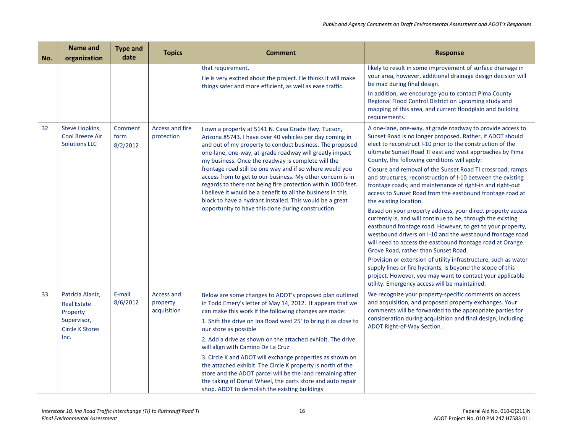| No. | <b>Name and</b><br>organization                                                                     | <b>Type and</b><br>date     | <b>Topics</b>                         | <b>Comment</b>                                                                                                                                                                                                                                                                                                                                                                                                                                                                                                                                                                                                                                                          | <b>Response</b>                                                                                                                                                                                                                                                                                                                                                                                                                                                                                                                                                                                                                                                                                                                                                                                                                                                                                                                                                                                                                                                                                                                                                                                 |
|-----|-----------------------------------------------------------------------------------------------------|-----------------------------|---------------------------------------|-------------------------------------------------------------------------------------------------------------------------------------------------------------------------------------------------------------------------------------------------------------------------------------------------------------------------------------------------------------------------------------------------------------------------------------------------------------------------------------------------------------------------------------------------------------------------------------------------------------------------------------------------------------------------|-------------------------------------------------------------------------------------------------------------------------------------------------------------------------------------------------------------------------------------------------------------------------------------------------------------------------------------------------------------------------------------------------------------------------------------------------------------------------------------------------------------------------------------------------------------------------------------------------------------------------------------------------------------------------------------------------------------------------------------------------------------------------------------------------------------------------------------------------------------------------------------------------------------------------------------------------------------------------------------------------------------------------------------------------------------------------------------------------------------------------------------------------------------------------------------------------|
|     |                                                                                                     |                             |                                       | that requirement.<br>He is very excited about the project. He thinks it will make<br>things safer and more efficient, as well as ease traffic.                                                                                                                                                                                                                                                                                                                                                                                                                                                                                                                          | likely to result in some improvement of surface drainage in<br>your area, however, additional drainage design decision will<br>be mad during final design.<br>In addition, we encourage you to contact Pima County                                                                                                                                                                                                                                                                                                                                                                                                                                                                                                                                                                                                                                                                                                                                                                                                                                                                                                                                                                              |
|     |                                                                                                     |                             |                                       |                                                                                                                                                                                                                                                                                                                                                                                                                                                                                                                                                                                                                                                                         | Regional Flood Control District on upcoming study and<br>mapping of this area, and current floodplain and building<br>requirements.                                                                                                                                                                                                                                                                                                                                                                                                                                                                                                                                                                                                                                                                                                                                                                                                                                                                                                                                                                                                                                                             |
| 32  | Steve Hopkins,<br><b>Cool Breeze Air</b><br><b>Solutions LLC</b>                                    | Comment<br>form<br>8/2/2012 | Access and fire<br>protection         | I own a property at 5141 N. Casa Grade Hwy. Tucson,<br>Arizona 85743. I have over 40 vehicles per day coming in<br>and out of my property to conduct business. The proposed<br>one-lane, one-way, at-grade roadway will greatly impact<br>my business. Once the roadway is complete will the<br>frontage road still be one way and if so where would you<br>access from to get to our business. My other concern is in<br>regards to there not being fire protection within 1000 feet.<br>I believe it would be a benefit to all the business in this<br>block to have a hydrant installed. This would be a great<br>opportunity to have this done during construction. | A one-lane, one-way, at grade roadway to provide access to<br>Sunset Road is no longer proposed. Rather, if ADOT should<br>elect to reconstruct I-10 prior to the construction of the<br>ultimate Sunset Road TI east and west approaches by Pima<br>County, the following conditions will apply:<br>Closure and removal of the Sunset Road TI crossroad, ramps<br>and structures; reconstruction of I-10 between the existing<br>frontage roads; and maintenance of right-in and right-out<br>access to Sunset Road from the eastbound frontage road at<br>the existing location.<br>Based on your property address, your direct property access<br>currently is, and will continue to be, through the existing<br>eastbound frontage road. However, to get to your property,<br>westbound drivers on I-10 and the westbound frontage road<br>will need to access the eastbound frontage road at Orange<br>Grove Road, rather than Sunset Road.<br>Provision or extension of utility infrastructure, such as water<br>supply lines or fire hydrants, is beyond the scope of this<br>project. However, you may want to contact your applicable<br>utility. Emergency access will be maintained. |
| 33  | Patricia Alaniz,<br><b>Real Estate</b><br>Property<br>Supervisor,<br><b>Circle K Stores</b><br>Inc. | E-mail<br>8/6/2012          | Access and<br>property<br>acquisition | Below are some changes to ADOT's proposed plan outlined<br>in Todd Emery's letter of May 14, 2012. It appears that we<br>can make this work if the following changes are made:<br>1. Shift the drive on Ina Road west 25' to bring it as close to                                                                                                                                                                                                                                                                                                                                                                                                                       | We recognize your property-specific comments on access<br>and acquisition, and proposed property exchanges. Your<br>comments will be forwarded to the appropriate parties for<br>consideration during acquisition and final design, including<br>ADOT Right-of-Way Section.                                                                                                                                                                                                                                                                                                                                                                                                                                                                                                                                                                                                                                                                                                                                                                                                                                                                                                                     |
|     |                                                                                                     |                             |                                       | our store as possible                                                                                                                                                                                                                                                                                                                                                                                                                                                                                                                                                                                                                                                   |                                                                                                                                                                                                                                                                                                                                                                                                                                                                                                                                                                                                                                                                                                                                                                                                                                                                                                                                                                                                                                                                                                                                                                                                 |
|     |                                                                                                     |                             |                                       | 2. Add a drive as shown on the attached exhibit. The drive<br>will align with Camino De La Cruz                                                                                                                                                                                                                                                                                                                                                                                                                                                                                                                                                                         |                                                                                                                                                                                                                                                                                                                                                                                                                                                                                                                                                                                                                                                                                                                                                                                                                                                                                                                                                                                                                                                                                                                                                                                                 |
|     |                                                                                                     |                             |                                       | 3. Circle K and ADOT will exchange properties as shown on<br>the attached exhibit. The Circle K property is north of the<br>store and the ADOT parcel will be the land remaining after<br>the taking of Donut Wheel, the parts store and auto repair<br>shop. ADOT to demolish the existing buildings                                                                                                                                                                                                                                                                                                                                                                   |                                                                                                                                                                                                                                                                                                                                                                                                                                                                                                                                                                                                                                                                                                                                                                                                                                                                                                                                                                                                                                                                                                                                                                                                 |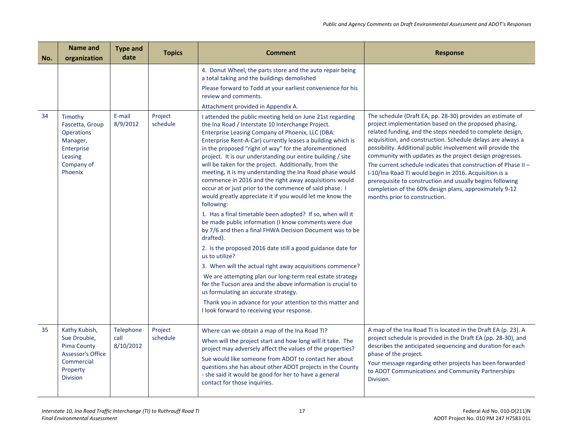| No. | Name and<br>organization                                                                                              | <b>Type and</b><br>date        | <b>Topics</b>       | <b>Comment</b>                                                                                                                                                                                                                                                                                                                                                                                                                                                                                                                                                                                                                                                                                                                                                                                                                                                                                                                                                                                                                                                                                                                                                                                                                                                                                             | <b>Response</b>                                                                                                                                                                                                                                                                                                                                                                                                                                                                                                                                                                                                                                                |
|-----|-----------------------------------------------------------------------------------------------------------------------|--------------------------------|---------------------|------------------------------------------------------------------------------------------------------------------------------------------------------------------------------------------------------------------------------------------------------------------------------------------------------------------------------------------------------------------------------------------------------------------------------------------------------------------------------------------------------------------------------------------------------------------------------------------------------------------------------------------------------------------------------------------------------------------------------------------------------------------------------------------------------------------------------------------------------------------------------------------------------------------------------------------------------------------------------------------------------------------------------------------------------------------------------------------------------------------------------------------------------------------------------------------------------------------------------------------------------------------------------------------------------------|----------------------------------------------------------------------------------------------------------------------------------------------------------------------------------------------------------------------------------------------------------------------------------------------------------------------------------------------------------------------------------------------------------------------------------------------------------------------------------------------------------------------------------------------------------------------------------------------------------------------------------------------------------------|
|     |                                                                                                                       |                                |                     | 4. Donut Wheel, the parts store and the auto repair being<br>a total taking and the buildings demolished<br>Please forward to Todd at your earliest convenience for his<br>review and comments.                                                                                                                                                                                                                                                                                                                                                                                                                                                                                                                                                                                                                                                                                                                                                                                                                                                                                                                                                                                                                                                                                                            |                                                                                                                                                                                                                                                                                                                                                                                                                                                                                                                                                                                                                                                                |
|     |                                                                                                                       |                                |                     | Attachment provided in Appendix A.                                                                                                                                                                                                                                                                                                                                                                                                                                                                                                                                                                                                                                                                                                                                                                                                                                                                                                                                                                                                                                                                                                                                                                                                                                                                         |                                                                                                                                                                                                                                                                                                                                                                                                                                                                                                                                                                                                                                                                |
| 34  | Timothy<br>Fascetta, Group<br><b>Operations</b><br>Manager,<br>Enterprise<br>Leasing<br>Company of<br>Phoenix         | E-mail<br>8/9/2012             | Project<br>schedule | I attended the public meeting held on June 21st regarding<br>the Ina Road / Interstate 10 Interchange Project.<br>Enterprise Leasing Company of Phoenix, LLC (DBA:<br>Enterprise Rent-A-Car) currently leases a building which is<br>in the proposed "right of way" for the aforementioned<br>project. It is our understanding our entire building / site<br>will be taken for the project. Additionally, from the<br>meeting, it is my understanding the Ina Road phase would<br>commence in 2016 and the right away acquisitions would<br>occur at or just prior to the commence of said phase. I<br>would greatly appreciate it if you would let me know the<br>following:<br>1. Has a final timetable been adopted? If so, when will it<br>be made public information (I know comments were due<br>by 7/6 and then a final FHWA Decision Document was to be<br>drafted).<br>2. Is the proposed 2016 date still a good guidance date for<br>us to utilize?<br>3. When will the actual right away acquisitions commence?<br>We are attempting plan our long-term real estate strategy<br>for the Tucson area and the above information is crucial to<br>us formulating an accurate strategy.<br>Thank you in advance for your attention to this matter and<br>I look forward to receiving your response. | The schedule (Draft EA, pp. 28-30) provides an estimate of<br>project implementation based on the proposed phasing,<br>related funding, and the steps needed to complete design,<br>acquisition, and construction. Schedule delays are always a<br>possibility. Additional public involvement will provide the<br>community with updates as the project design progresses.<br>The current schedule indicates that construction of Phase II -<br>I-10/Ina Road TI would begin in 2016. Acquisition is a<br>prerequisite to construction and usually begins following<br>completion of the 60% design plans, approximately 9-12<br>months prior to construction. |
| 35  | Kathy Kubish,<br>Sue Droubie,<br>Pima County<br><b>Assessor's Office</b><br>Commercial<br>Property<br><b>Division</b> | Telephone<br>call<br>8/10/2012 | Project<br>schedule | Where can we obtain a map of the Ina Road TI?<br>When will the project start and how long will it take. The<br>project may adversely affect the values of the properties?<br>Sue would like someone from ADOT to contact her about<br>questions she has about other ADOT projects in the County<br>- she said it would be good for her to have a general<br>contact for those inquiries.                                                                                                                                                                                                                                                                                                                                                                                                                                                                                                                                                                                                                                                                                                                                                                                                                                                                                                                   | A map of the Ina Road TI is located in the Draft EA (p. 23). A<br>project schedule is provided in the Draft EA (pp. 28-30), and<br>describes the anticipated sequencing and duration for each<br>phase of the project.<br>Your message regarding other projects has been forwarded<br>to ADOT Communications and Community Partnerships<br>Division.                                                                                                                                                                                                                                                                                                           |